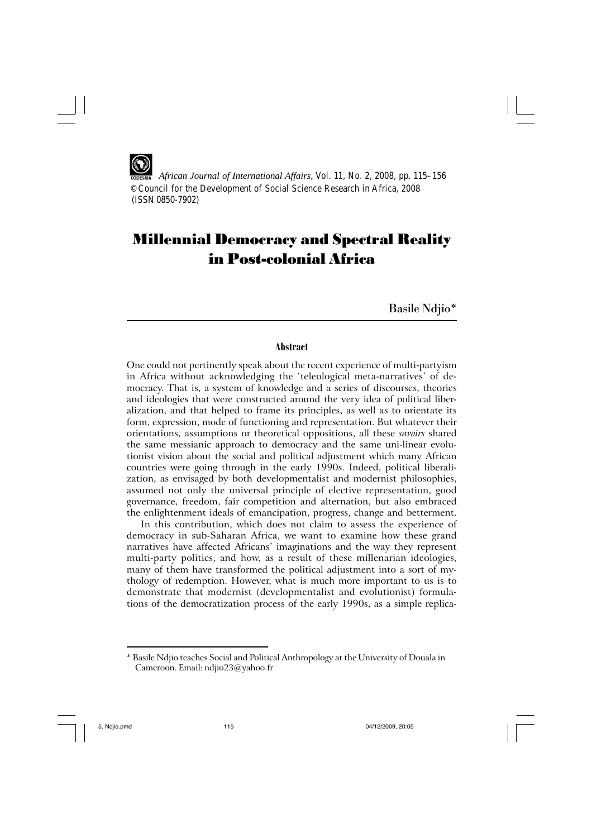*African Journal of International Affairs,* Vol. 11, No. 2, 2008, pp. 115–156 © Council for the Development of Social Science Research in Africa, 2008 (ISSN 0850-7902)

# Millennial Democracy and Spectral Reality in Post-colonial Africa

Basile Ndjio\*

## **Abstract**

One could not pertinently speak about the recent experience of multi-partyism in Africa without acknowledging the 'teleological meta-narratives' of democracy. That is, a system of knowledge and a series of discourses, theories and ideologies that were constructed around the very idea of political liberalization, and that helped to frame its principles, as well as to orientate its form, expression, mode of functioning and representation. But whatever their orientations, assumptions or theoretical oppositions, all these *savoirs* shared the same messianic approach to democracy and the same uni-linear evolutionist vision about the social and political adjustment which many African countries were going through in the early 1990s. Indeed, political liberalization, as envisaged by both developmentalist and modernist philosophies, assumed not only the universal principle of elective representation, good governance, freedom, fair competition and alternation, but also embraced the enlightenment ideals of emancipation, progress, change and betterment.

In this contribution, which does not claim to assess the experience of democracy in sub-Saharan Africa, we want to examine how these grand narratives have affected Africans' imaginations and the way they represent multi-party politics, and how, as a result of these millenarian ideologies, many of them have transformed the political adjustment into a sort of mythology of redemption. However, what is much more important to us is to demonstrate that modernist (developmentalist and evolutionist) formulations of the democratization process of the early 1990s, as a simple replica-

<sup>\*</sup> Basile Ndjio teaches Social and Political Anthropology at the University of Douala in Cameroon. Email: ndjio23@yahoo.fr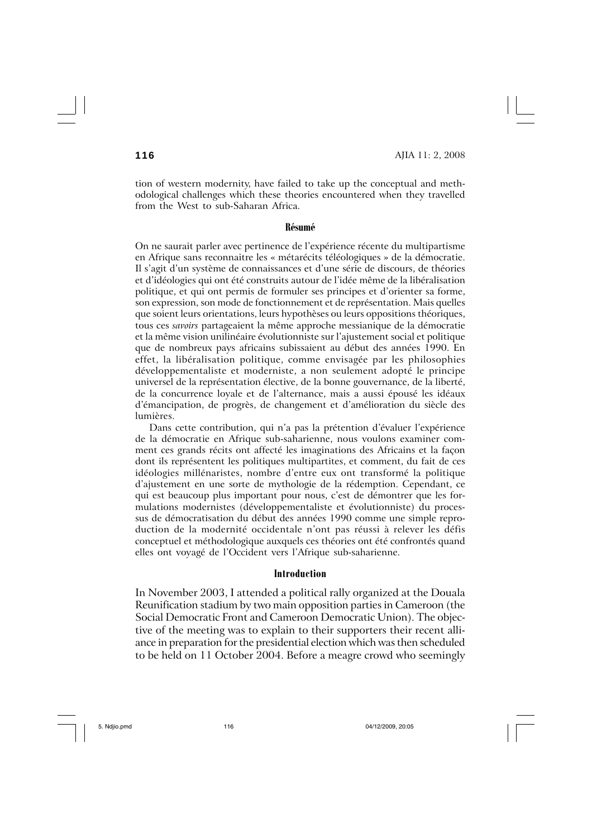tion of western modernity, have failed to take up the conceptual and methodological challenges which these theories encountered when they travelled from the West to sub-Saharan Africa.

#### **Résumé**

On ne saurait parler avec pertinence de l'expérience récente du multipartisme en Afrique sans reconnaitre les « métarécits téléologiques » de la démocratie. Il s'agit d'un système de connaissances et d'une série de discours, de théories et d'idéologies qui ont été construits autour de l'idée même de la libéralisation politique, et qui ont permis de formuler ses principes et d'orienter sa forme, son expression, son mode de fonctionnement et de représentation. Mais quelles que soient leurs orientations, leurs hypothèses ou leurs oppositions théoriques, tous ces *savoirs* partageaient la même approche messianique de la démocratie et la même vision unilinéaire évolutionniste sur l'ajustement social et politique que de nombreux pays africains subissaient au début des années 1990. En effet, la libéralisation politique, comme envisagée par les philosophies développementaliste et moderniste, a non seulement adopté le principe universel de la représentation élective, de la bonne gouvernance, de la liberté, de la concurrence loyale et de l'alternance, mais a aussi épousé les idéaux d'émancipation, de progrès, de changement et d'amélioration du siècle des lumières.

Dans cette contribution, qui n'a pas la prétention d'évaluer l'expérience de la démocratie en Afrique sub-saharienne, nous voulons examiner comment ces grands récits ont affecté les imaginations des Africains et la façon dont ils représentent les politiques multipartites, et comment, du fait de ces idéologies millénaristes, nombre d'entre eux ont transformé la politique d'ajustement en une sorte de mythologie de la rédemption. Cependant, ce qui est beaucoup plus important pour nous, c'est de démontrer que les formulations modernistes (développementaliste et évolutionniste) du processus de démocratisation du début des années 1990 comme une simple reproduction de la modernité occidentale n'ont pas réussi à relever les défis conceptuel et méthodologique auxquels ces théories ont été confrontés quand elles ont voyagé de l'Occident vers l'Afrique sub-saharienne.

## **Introduction**

In November 2003, I attended a political rally organized at the Douala Reunification stadium by two main opposition parties in Cameroon (the Social Democratic Front and Cameroon Democratic Union). The objective of the meeting was to explain to their supporters their recent alliance in preparation for the presidential election which was then scheduled to be held on 11 October 2004. Before a meagre crowd who seemingly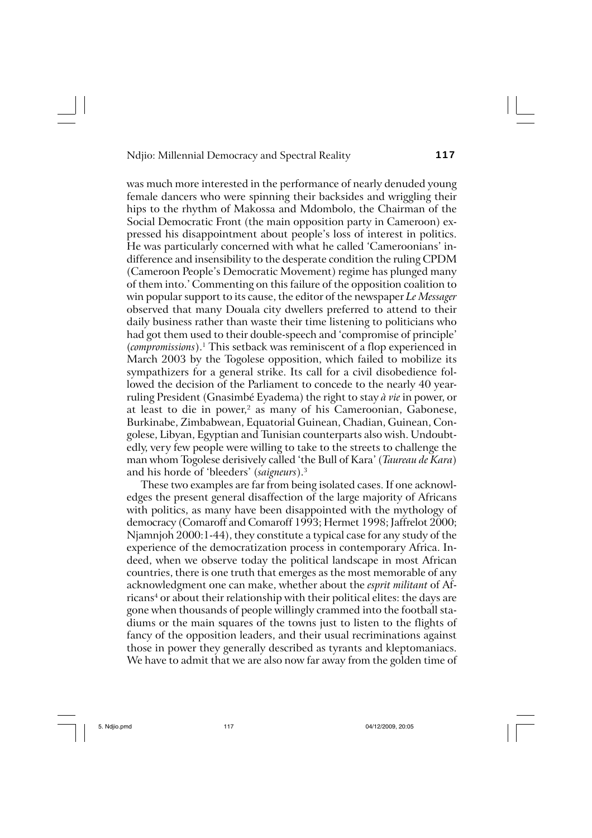was much more interested in the performance of nearly denuded young female dancers who were spinning their backsides and wriggling their hips to the rhythm of Makossa and Mdombolo, the Chairman of the Social Democratic Front (the main opposition party in Cameroon) expressed his disappointment about people's loss of interest in politics. He was particularly concerned with what he called 'Cameroonians' indifference and insensibility to the desperate condition the ruling CPDM (Cameroon People's Democratic Movement) regime has plunged many of them into.' Commenting on this failure of the opposition coalition to win popular support to its cause, the editor of the newspaper *Le Messager* observed that many Douala city dwellers preferred to attend to their daily business rather than waste their time listening to politicians who had got them used to their double-speech and 'compromise of principle' (*compromissions*).1 This setback was reminiscent of a flop experienced in March 2003 by the Togolese opposition, which failed to mobilize its sympathizers for a general strike. Its call for a civil disobedience followed the decision of the Parliament to concede to the nearly 40 yearruling President (Gnasimbé Eyadema) the right to stay *à vie* in power, or at least to die in power, $2$  as many of his Cameroonian, Gabonese, Burkinabe, Zimbabwean, Equatorial Guinean, Chadian, Guinean, Congolese, Libyan, Egyptian and Tunisian counterparts also wish. Undoubtedly, very few people were willing to take to the streets to challenge the man whom Togolese derisively called 'the Bull of Kara' (*Taureau de Kara*) and his horde of 'bleeders' (*saigneurs*).3

These two examples are far from being isolated cases. If one acknowledges the present general disaffection of the large majority of Africans with politics, as many have been disappointed with the mythology of democracy (Comaroff and Comaroff 1993; Hermet 1998; Jaffrelot 2000; Njamnjoh 2000:1-44), they constitute a typical case for any study of the experience of the democratization process in contemporary Africa. Indeed, when we observe today the political landscape in most African countries, there is one truth that emerges as the most memorable of any acknowledgment one can make, whether about the *esprit militant* of Africans<sup>4</sup> or about their relationship with their political elites: the days are gone when thousands of people willingly crammed into the football stadiums or the main squares of the towns just to listen to the flights of fancy of the opposition leaders, and their usual recriminations against those in power they generally described as tyrants and kleptomaniacs. We have to admit that we are also now far away from the golden time of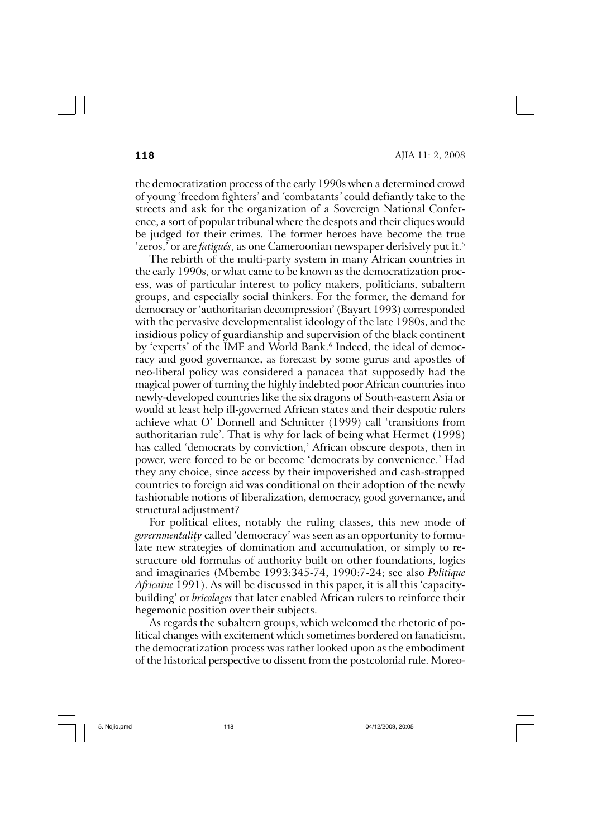**118** AJIA 11: 2, 2008

the democratization process of the early 1990s when a determined crowd of young 'freedom fighters' and *'*combatants*'* could defiantly take to the streets and ask for the organization of a Sovereign National Conference, a sort of popular tribunal where the despots and their cliques would be judged for their crimes. The former heroes have become the true 'zeros,' or are *fatigués*, as one Cameroonian newspaper derisively put it.5

The rebirth of the multi-party system in many African countries in the early 1990s, or what came to be known as the democratization process, was of particular interest to policy makers, politicians, subaltern groups, and especially social thinkers. For the former, the demand for democracy or 'authoritarian decompression' (Bayart 1993) corresponded with the pervasive developmentalist ideology of the late 1980s, and the insidious policy of guardianship and supervision of the black continent by 'experts' of the IMF and World Bank.<sup>6</sup> Indeed, the ideal of democracy and good governance, as forecast by some gurus and apostles of neo-liberal policy was considered a panacea that supposedly had the magical power of turning the highly indebted poor African countries into newly-developed countries like the six dragons of South-eastern Asia or would at least help ill-governed African states and their despotic rulers achieve what O' Donnell and Schnitter (1999) call 'transitions from authoritarian rule'. That is why for lack of being what Hermet (1998) has called 'democrats by conviction,' African obscure despots, then in power, were forced to be or become 'democrats by convenience.' Had they any choice, since access by their impoverished and cash-strapped countries to foreign aid was conditional on their adoption of the newly fashionable notions of liberalization, democracy, good governance, and structural adjustment?

For political elites, notably the ruling classes, this new mode of *governmentality* called 'democracy' was seen as an opportunity to formulate new strategies of domination and accumulation, or simply to restructure old formulas of authority built on other foundations, logics and imaginaries (Mbembe 1993:345-74, 1990:7-24; see also *Politique Africaine* 1991). As will be discussed in this paper, it is all this 'capacitybuilding' or *bricolages* that later enabled African rulers to reinforce their hegemonic position over their subjects.

As regards the subaltern groups, which welcomed the rhetoric of political changes with excitement which sometimes bordered on fanaticism, the democratization process was rather looked upon as the embodiment of the historical perspective to dissent from the postcolonial rule. Moreo-

5. Ndjio.pmd 118 04/12/2009, 20:05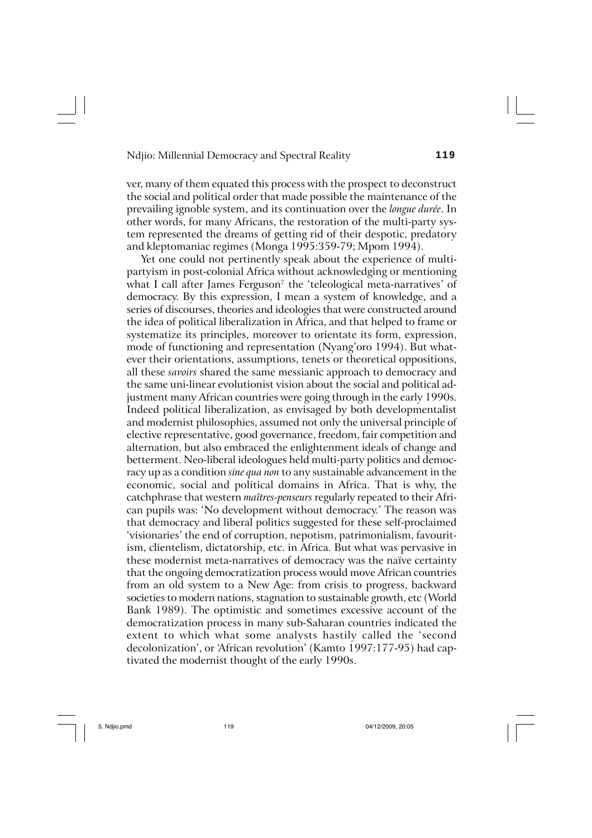ver, many of them equated this process with the prospect to deconstruct the social and political order that made possible the maintenance of the prevailing ignoble system, and its continuation over the *longue durée*. In other words, for many Africans, the restoration of the multi-party system represented the dreams of getting rid of their despotic, predatory and kleptomaniac regimes (Monga 1995:359-79; Mpom 1994).

Yet one could not pertinently speak about the experience of multipartyism in post-colonial Africa without acknowledging or mentioning what I call after James Ferguson<sup>7</sup> the 'teleological meta-narratives' of democracy. By this expression, I mean a system of knowledge, and a series of discourses, theories and ideologies that were constructed around the idea of political liberalization in Africa, and that helped to frame or systematize its principles, moreover to orientate its form, expression, mode of functioning and representation (Nyang'oro 1994). But whatever their orientations, assumptions, tenets or theoretical oppositions, all these *savoirs* shared the same messianic approach to democracy and the same uni-linear evolutionist vision about the social and political adjustment many African countries were going through in the early 1990s. Indeed political liberalization, as envisaged by both developmentalist and modernist philosophies, assumed not only the universal principle of elective representative, good governance, freedom, fair competition and alternation, but also embraced the enlightenment ideals of change and betterment. Neo-liberal ideologues held multi-party politics and democracy up as a condition *sine qua non* to any sustainable advancement in the economic, social and political domains in Africa. That is why, the catchphrase that western *maîtres-penseurs* regularly repeated to their African pupils was: 'No development without democracy.' The reason was that democracy and liberal politics suggested for these self-proclaimed 'visionaries' the end of corruption, nepotism, patrimonialism, favouritism, clientelism, dictatorship, etc. in Africa. But what was pervasive in these modernist meta-narratives of democracy was the naïve certainty that the ongoing democratization process would move African countries from an old system to a New Age: from crisis to progress, backward societies to modern nations, stagnation to sustainable growth, etc (World Bank 1989). The optimistic and sometimes excessive account of the democratization process in many sub-Saharan countries indicated the extent to which what some analysts hastily called the 'second decolonization', or 'African revolution' (Kamto 1997:177-95) had captivated the modernist thought of the early 1990s.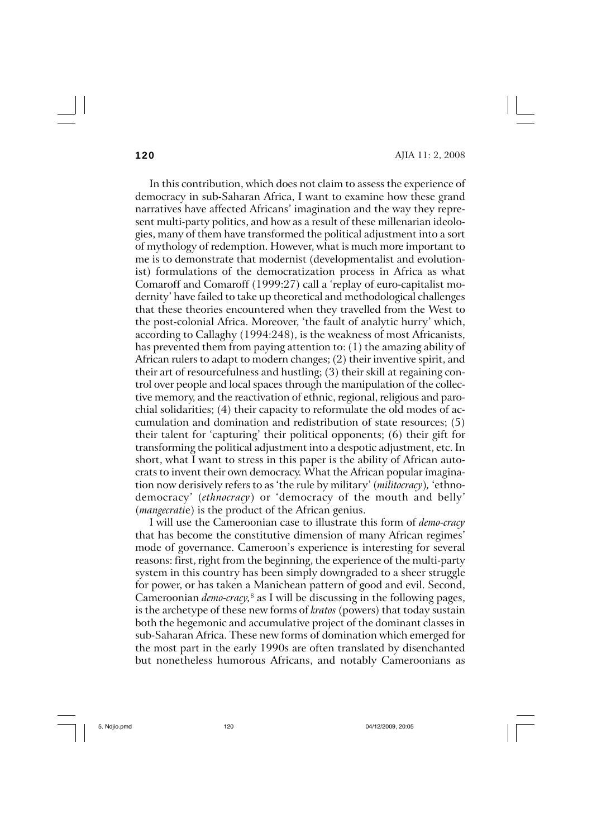**120** AJIA 11: 2, 2008

In this contribution, which does not claim to assess the experience of democracy in sub-Saharan Africa, I want to examine how these grand narratives have affected Africans' imagination and the way they represent multi-party politics, and how as a result of these millenarian ideologies, many of them have transformed the political adjustment into a sort of mythology of redemption. However, what is much more important to me is to demonstrate that modernist (developmentalist and evolutionist) formulations of the democratization process in Africa as what Comaroff and Comaroff (1999:27) call a 'replay of euro-capitalist modernity' have failed to take up theoretical and methodological challenges that these theories encountered when they travelled from the West to the post-colonial Africa. Moreover, 'the fault of analytic hurry' which, according to Callaghy (1994:248), is the weakness of most Africanists, has prevented them from paying attention to: (1) the amazing ability of African rulers to adapt to modern changes; (2) their inventive spirit, and their art of resourcefulness and hustling; (3) their skill at regaining control over people and local spaces through the manipulation of the collective memory, and the reactivation of ethnic, regional, religious and parochial solidarities; (4) their capacity to reformulate the old modes of accumulation and domination and redistribution of state resources; (5) their talent for 'capturing' their political opponents; (6) their gift for transforming the political adjustment into a despotic adjustment, etc. In short, what I want to stress in this paper is the ability of African autocrats to invent their own democracy. What the African popular imagination now derisively refers to as 'the rule by military' (*militocracy*)*,* 'ethnodemocracy' (*ethnocracy*) or 'democracy of the mouth and belly' (*mangecrati*e) is the product of the African genius.

I will use the Cameroonian case to illustrate this form of *demo-cracy* that has become the constitutive dimension of many African regimes' mode of governance. Cameroon's experience is interesting for several reasons: first, right from the beginning, the experience of the multi-party system in this country has been simply downgraded to a sheer struggle for power, or has taken a Manichean pattern of good and evil. Second, Cameroonian *demo-cracy,*8 as I will be discussing in the following pages, is the archetype of these new forms of *kratos* (powers) that today sustain both the hegemonic and accumulative project of the dominant classes in sub-Saharan Africa. These new forms of domination which emerged for the most part in the early 1990s are often translated by disenchanted but nonetheless humorous Africans, and notably Cameroonians as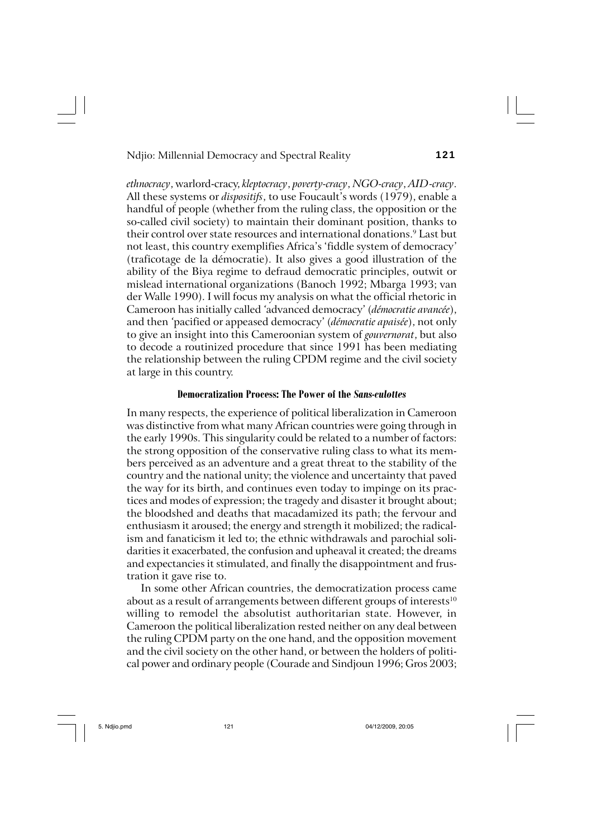*ethnocracy*, warlord-cracy, *kleptocracy*, *poverty-cracy*, *NGO-cracy*, *AID-cracy*. All these systems or *dispositifs*, to use Foucault's words (1979), enable a handful of people (whether from the ruling class, the opposition or the so-called civil society) to maintain their dominant position, thanks to their control over state resources and international donations.<sup>9</sup> Last but not least, this country exemplifies Africa's 'fiddle system of democracy' (traficotage de la démocratie). It also gives a good illustration of the ability of the Biya regime to defraud democratic principles, outwit or mislead international organizations (Banoch 1992; Mbarga 1993; van der Walle 1990). I will focus my analysis on what the official rhetoric in Cameroon has initially called *'*advanced democracy' (*démocratie avancée*), and then *'*pacified or appeased democracy' (*démocratie apaisée*), not only to give an insight into this Cameroonian system of *gouvernorat*, but also to decode a routinized procedure that since 1991 has been mediating the relationship between the ruling CPDM regime and the civil society at large in this country.

## **Democratization Process: The Power of the** *Sans-culottes*

In many respects, the experience of political liberalization in Cameroon was distinctive from what many African countries were going through in the early 1990s. This singularity could be related to a number of factors: the strong opposition of the conservative ruling class to what its members perceived as an adventure and a great threat to the stability of the country and the national unity; the violence and uncertainty that paved the way for its birth, and continues even today to impinge on its practices and modes of expression; the tragedy and disaster it brought about; the bloodshed and deaths that macadamized its path; the fervour and enthusiasm it aroused; the energy and strength it mobilized; the radicalism and fanaticism it led to; the ethnic withdrawals and parochial solidarities it exacerbated, the confusion and upheaval it created; the dreams and expectancies it stimulated, and finally the disappointment and frustration it gave rise to.

In some other African countries, the democratization process came about as a result of arrangements between different groups of interests<sup>10</sup> willing to remodel the absolutist authoritarian state. However, in Cameroon the political liberalization rested neither on any deal between the ruling CPDM party on the one hand, and the opposition movement and the civil society on the other hand, or between the holders of political power and ordinary people (Courade and Sindjoun 1996; Gros 2003;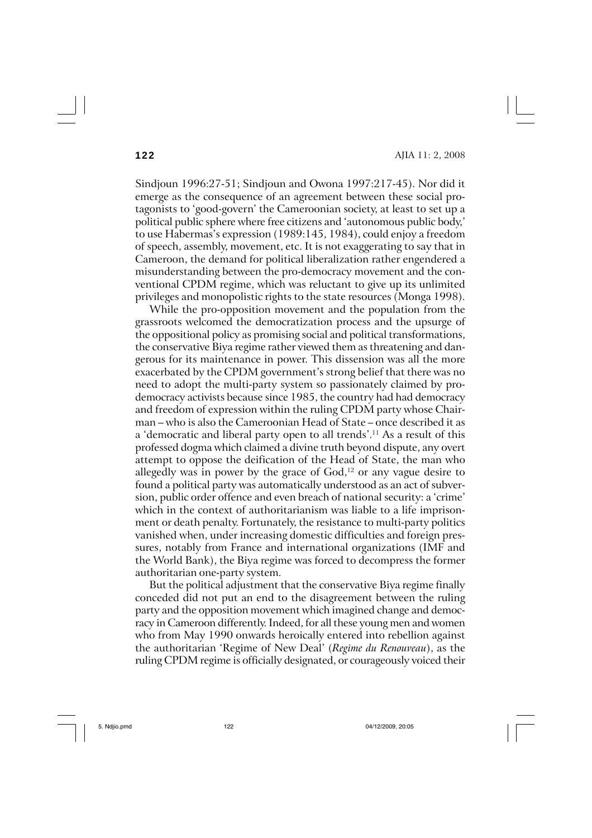**122** AJIA 11: 2, 2008

Sindjoun 1996:27-51; Sindjoun and Owona 1997:217-45). Nor did it emerge as the consequence of an agreement between these social protagonists to 'good-govern' the Cameroonian society, at least to set up a political public sphere where free citizens and 'autonomous public body,' to use Habermas's expression (1989:145, 1984), could enjoy a freedom of speech, assembly, movement, etc. It is not exaggerating to say that in Cameroon, the demand for political liberalization rather engendered a misunderstanding between the pro-democracy movement and the conventional CPDM regime, which was reluctant to give up its unlimited privileges and monopolistic rights to the state resources (Monga 1998).

While the pro-opposition movement and the population from the grassroots welcomed the democratization process and the upsurge of the oppositional policy as promising social and political transformations, the conservative Biya regime rather viewed them as threatening and dangerous for its maintenance in power. This dissension was all the more exacerbated by the CPDM government's strong belief that there was no need to adopt the multi-party system so passionately claimed by prodemocracy activists because since 1985, the country had had democracy and freedom of expression within the ruling CPDM party whose Chairman – who is also the Cameroonian Head of State – once described it as a 'democratic and liberal party open to all trends'.11 As a result of this professed dogma which claimed a divine truth beyond dispute, any overt attempt to oppose the deification of the Head of State, the man who allegedly was in power by the grace of  $God$ ,<sup>12</sup> or any vague desire to found a political party was automatically understood as an act of subversion, public order offence and even breach of national security: a 'crime' which in the context of authoritarianism was liable to a life imprisonment or death penalty. Fortunately, the resistance to multi-party politics vanished when, under increasing domestic difficulties and foreign pressures, notably from France and international organizations (IMF and the World Bank), the Biya regime was forced to decompress the former authoritarian one-party system.

But the political adjustment that the conservative Biya regime finally conceded did not put an end to the disagreement between the ruling party and the opposition movement which imagined change and democracy in Cameroon differently. Indeed, for all these young men and women who from May 1990 onwards heroically entered into rebellion against the authoritarian 'Regime of New Deal' (*Regime du Renouveau*), as the ruling CPDM regime is officially designated, or courageously voiced their

5. Ndjio.pmd 122 04/12/2009, 20:05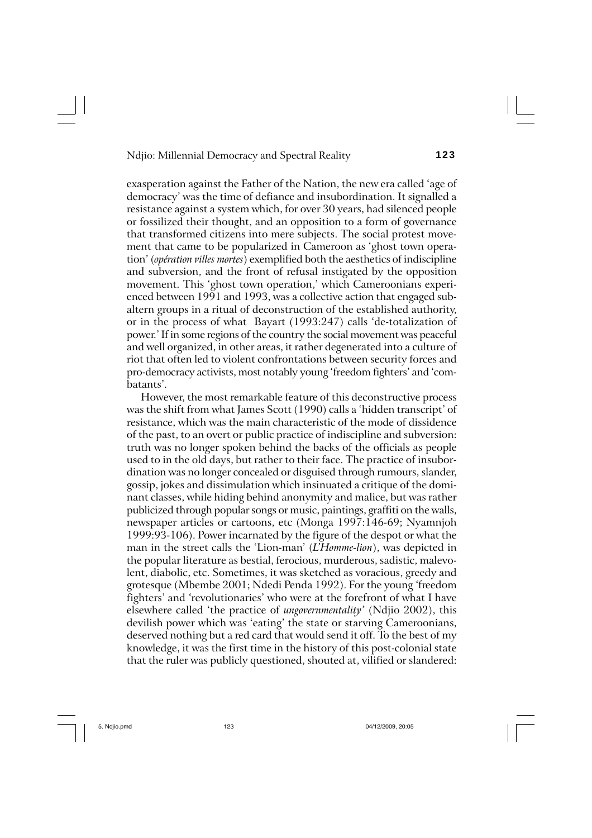exasperation against the Father of the Nation, the new era called 'age of democracy' was the time of defiance and insubordination. It signalled a resistance against a system which, for over 30 years, had silenced people or fossilized their thought, and an opposition to a form of governance that transformed citizens into mere subjects. The social protest movement that came to be popularized in Cameroon as 'ghost town operation' (*opération villes mortes*) exemplified both the aesthetics of indiscipline and subversion, and the front of refusal instigated by the opposition movement. This 'ghost town operation,' which Cameroonians experienced between 1991 and 1993, was a collective action that engaged subaltern groups in a ritual of deconstruction of the established authority, or in the process of what Bayart (1993:247) calls 'de-totalization of power.' If in some regions of the country the social movement was peaceful and well organized, in other areas, it rather degenerated into a culture of riot that often led to violent confrontations between security forces and pro-democracy activists, most notably young 'freedom fighters' and 'combatants'.

However, the most remarkable feature of this deconstructive process was the shift from what James Scott (1990) calls a 'hidden transcript' of resistance, which was the main characteristic of the mode of dissidence of the past, to an overt or public practice of indiscipline and subversion: truth was no longer spoken behind the backs of the officials as people used to in the old days, but rather to their face. The practice of insubordination was no longer concealed or disguised through rumours, slander, gossip, jokes and dissimulation which insinuated a critique of the dominant classes, while hiding behind anonymity and malice, but was rather publicized through popular songs or music, paintings, graffiti on the walls, newspaper articles or cartoons, etc (Monga 1997:146-69; Nyamnjoh 1999:93-106). Power incarnated by the figure of the despot or what the man in the street calls the 'Lion-man' (*L'Homme-lion*), was depicted in the popular literature as bestial, ferocious, murderous, sadistic, malevolent, diabolic, etc. Sometimes, it was sketched as voracious, greedy and grotesque (Mbembe 2001; Ndedi Penda 1992). For the young *'*freedom fighters' and *'*revolutionaries' who were at the forefront of what I have elsewhere called 'the practice of *ungovernmentality'* (Ndjio 2002), this devilish power which was 'eating' the state or starving Cameroonians, deserved nothing but a red card that would send it off. To the best of my knowledge, it was the first time in the history of this post-colonial state that the ruler was publicly questioned, shouted at, vilified or slandered: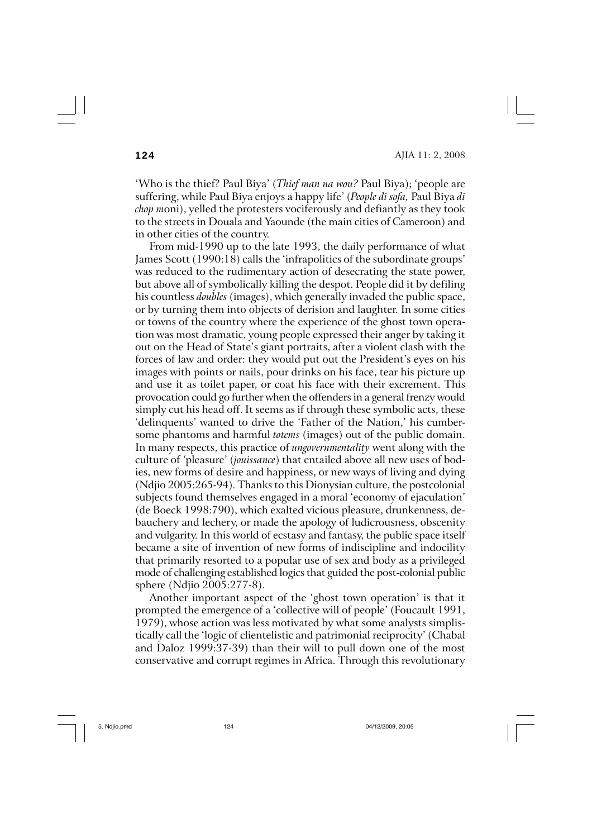'Who is the thief? Paul Biya' (*Thief man na wou?* Paul Biya); 'people are suffering, while Paul Biya enjoys a happy life' (*People di sofa,* Paul Biya *di chop m*oni), yelled the protesters vociferously and defiantly as they took to the streets in Douala and Yaounde (the main cities of Cameroon) and in other cities of the country.

From mid-1990 up to the late 1993, the daily performance of what James Scott (1990:18) calls the 'infrapolitics of the subordinate groups' was reduced to the rudimentary action of desecrating the state power, but above all of symbolically killing the despot. People did it by defiling his countless *doubles* (images), which generally invaded the public space, or by turning them into objects of derision and laughter. In some cities or towns of the country where the experience of the ghost town operation was most dramatic, young people expressed their anger by taking it out on the Head of State's giant portraits, after a violent clash with the forces of law and order: they would put out the President's eyes on his images with points or nails, pour drinks on his face, tear his picture up and use it as toilet paper, or coat his face with their excrement. This provocation could go further when the offenders in a general frenzy would simply cut his head off. It seems as if through these symbolic acts, these 'delinquents' wanted to drive the 'Father of the Nation,' his cumbersome phantoms and harmful *totems* (images) out of the public domain. In many respects, this practice of *ungovernmentality* went along with the culture of *'*pleasure' (*jouissance*) that entailed above all new uses of bodies, new forms of desire and happiness, or new ways of living and dying (Ndjio 2005:265-94). Thanks to this Dionysian culture, the postcolonial subjects found themselves engaged in a moral 'economy of ejaculation' (de Boeck 1998:790), which exalted vicious pleasure, drunkenness, debauchery and lechery, or made the apology of ludicrousness, obscenity and vulgarity. In this world of ecstasy and fantasy, the public space itself became a site of invention of new forms of indiscipline and indocility that primarily resorted to a popular use of sex and body as a privileged mode of challenging established logics that guided the post-colonial public sphere (Ndjio 2005:277-8).

Another important aspect of the 'ghost town operation' is that it prompted the emergence of a 'collective will of people' (Foucault 1991, 1979), whose action was less motivated by what some analysts simplistically call the 'logic of clientelistic and patrimonial reciprocity' (Chabal and Daloz 1999:37-39) than their will to pull down one of the most conservative and corrupt regimes in Africa. Through this revolutionary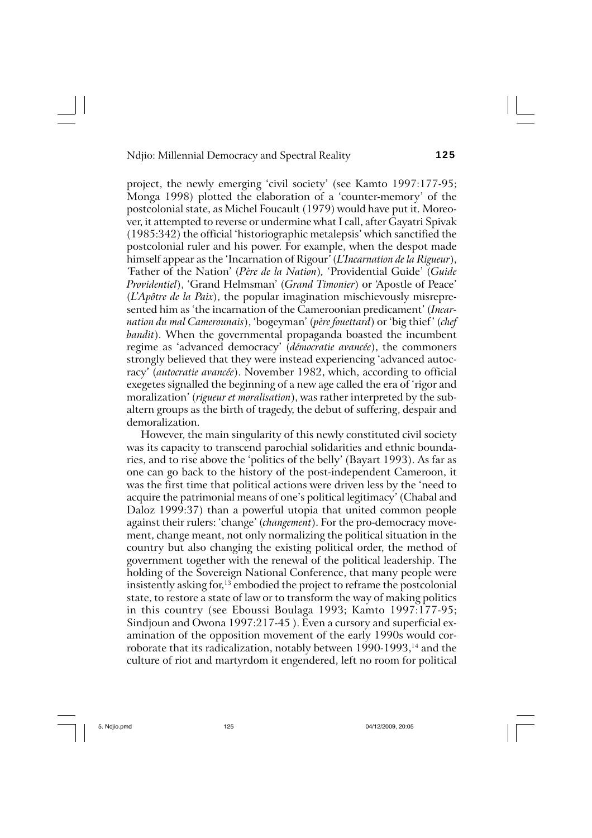project, the newly emerging 'civil society' (see Kamto 1997:177-95; Monga 1998) plotted the elaboration of a 'counter-memory' of the postcolonial state, as Michel Foucault (1979) would have put it. Moreover, it attempted to reverse or undermine what I call, after Gayatri Spivak (1985:342) the official 'historiographic metalepsis' which sanctified the postcolonial ruler and his power. For example, when the despot made himself appear as the 'Incarnation of Rigour*'* (*L'Incarnation de la Rigueur*), *'*Father of the Nation' (*Père de la Nation*)*,* 'Providential Guide' (*Guide Providentiel*), 'Grand Helmsman' (*Grand Timonier*) or 'Apostle of Peace' (*L'Apôtre de la Paix*), the popular imagination mischievously misrepresented him as 'the incarnation of the Cameroonian predicament' (*Incarnation du mal Camerounais*), 'bogeyman' (*père fouettard*) or 'big thief' (*chef bandit*). When the governmental propaganda boasted the incumbent regime as 'advanced democracy' (*démocratie avancée*), the commoners strongly believed that they were instead experiencing 'advanced autocracy' (*autocratie avancée*). November 1982, which, according to official exegetes signalled the beginning of a new age called the era of 'rigor and moralization' (*rigueur et moralisation*), was rather interpreted by the subaltern groups as the birth of tragedy, the debut of suffering, despair and demoralization.

However, the main singularity of this newly constituted civil society was its capacity to transcend parochial solidarities and ethnic boundaries, and to rise above the 'politics of the belly' (Bayart 1993). As far as one can go back to the history of the post-independent Cameroon, it was the first time that political actions were driven less by the 'need to acquire the patrimonial means of one's political legitimacy' (Chabal and Daloz 1999:37) than a powerful utopia that united common people against their rulers: 'change' (*changement*). For the pro-democracy movement, change meant, not only normalizing the political situation in the country but also changing the existing political order, the method of government together with the renewal of the political leadership. The holding of the Sovereign National Conference, that many people were insistently asking for,13 embodied the project to reframe the postcolonial state, to restore a state of law or to transform the way of making politics in this country (see Eboussi Boulaga 1993; Kamto 1997:177-95; Sindjoun and Owona 1997:217-45 ). Even a cursory and superficial examination of the opposition movement of the early 1990s would corroborate that its radicalization, notably between 1990-1993,<sup>14</sup> and the culture of riot and martyrdom it engendered, left no room for political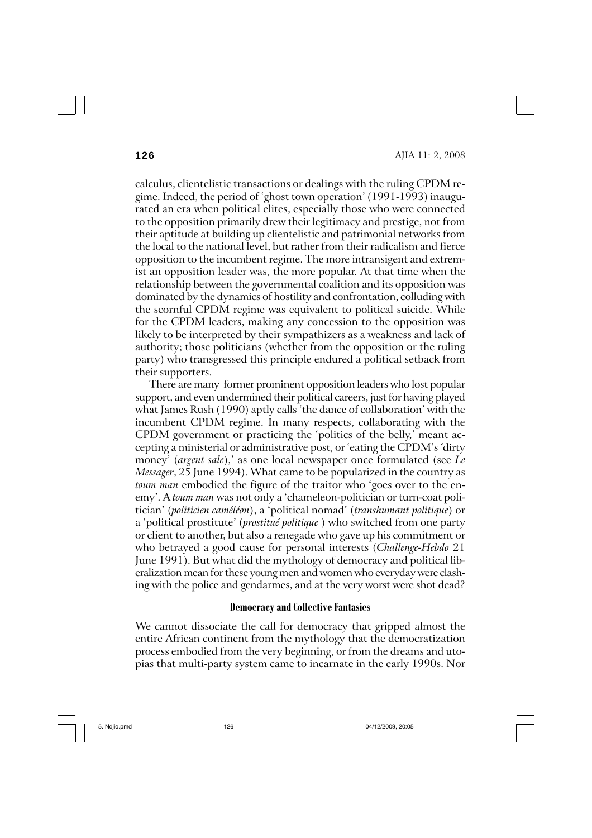**126** AJIA 11: 2, 2008

calculus, clientelistic transactions or dealings with the ruling CPDM regime. Indeed, the period of 'ghost town operation' (1991-1993) inaugurated an era when political elites, especially those who were connected to the opposition primarily drew their legitimacy and prestige, not from their aptitude at building up clientelistic and patrimonial networks from the local to the national level, but rather from their radicalism and fierce opposition to the incumbent regime. The more intransigent and extremist an opposition leader was, the more popular. At that time when the relationship between the governmental coalition and its opposition was dominated by the dynamics of hostility and confrontation, colluding with the scornful CPDM regime was equivalent to political suicide. While for the CPDM leaders, making any concession to the opposition was likely to be interpreted by their sympathizers as a weakness and lack of authority; those politicians (whether from the opposition or the ruling party) who transgressed this principle endured a political setback from their supporters.

There are many former prominent opposition leaders who lost popular support, and even undermined their political careers, just for having played what James Rush (1990) aptly calls 'the dance of collaboration' with the incumbent CPDM regime. In many respects, collaborating with the CPDM government or practicing the 'politics of the belly,' meant accepting a ministerial or administrative post, or 'eating the CPDM's *'*dirty money' (*argent sale*),' as one local newspaper once formulated (see *Le Messager*, 25 June 1994). What came to be popularized in the country as *toum man* embodied the figure of the traitor who 'goes over to the enemy'. A *toum man* was not only a 'chameleon-politician or turn-coat politician' (*politicien caméléon*), a 'political nomad' (*transhumant politique*) or a 'political prostitute' (*prostitué politique* ) who switched from one party or client to another, but also a renegade who gave up his commitment or who betrayed a good cause for personal interests (*Challenge-Hebdo* 21 June 1991). But what did the mythology of democracy and political liberalization mean for these young men and women who everyday were clashing with the police and gendarmes, and at the very worst were shot dead?

## **Democracy and Collective Fantasies**

We cannot dissociate the call for democracy that gripped almost the entire African continent from the mythology that the democratization process embodied from the very beginning, or from the dreams and utopias that multi-party system came to incarnate in the early 1990s. Nor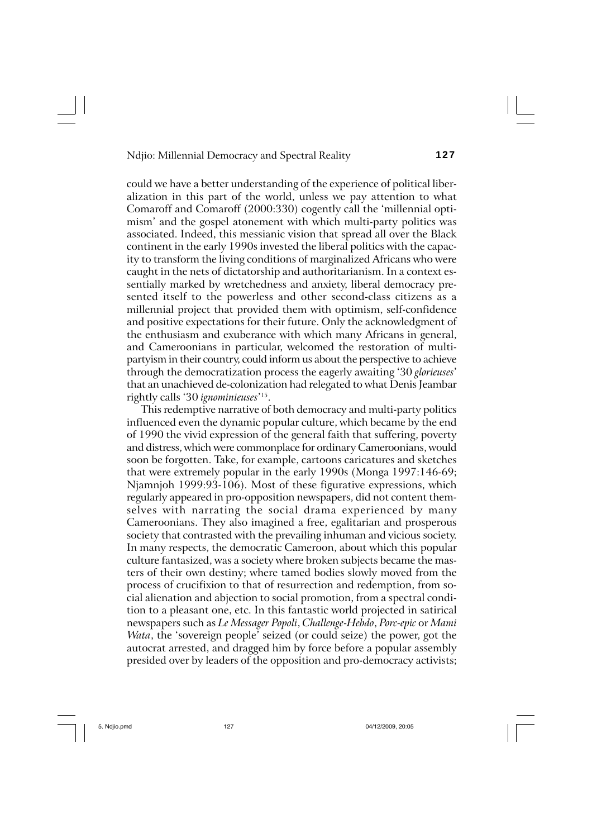could we have a better understanding of the experience of political liberalization in this part of the world, unless we pay attention to what Comaroff and Comaroff (2000:330) cogently call the 'millennial optimism' and the gospel atonement with which multi-party politics was associated. Indeed, this messianic vision that spread all over the Black continent in the early 1990s invested the liberal politics with the capacity to transform the living conditions of marginalized Africans who were caught in the nets of dictatorship and authoritarianism. In a context essentially marked by wretchedness and anxiety, liberal democracy presented itself to the powerless and other second-class citizens as a millennial project that provided them with optimism, self-confidence and positive expectations for their future. Only the acknowledgment of the enthusiasm and exuberance with which many Africans in general, and Cameroonians in particular, welcomed the restoration of multipartyism in their country, could inform us about the perspective to achieve through the democratization process the eagerly awaiting '30 *glorieuses*' that an unachieved de-colonization had relegated to what Denis Jeambar rightly calls '30 *ignominieuses*' 15.

This redemptive narrative of both democracy and multi-party politics influenced even the dynamic popular culture, which became by the end of 1990 the vivid expression of the general faith that suffering, poverty and distress, which were commonplace for ordinary Cameroonians, would soon be forgotten. Take, for example, cartoons caricatures and sketches that were extremely popular in the early 1990s (Monga 1997:146-69; Njamnjoh 1999:93-106). Most of these figurative expressions, which regularly appeared in pro-opposition newspapers, did not content themselves with narrating the social drama experienced by many Cameroonians. They also imagined a free, egalitarian and prosperous society that contrasted with the prevailing inhuman and vicious society. In many respects, the democratic Cameroon, about which this popular culture fantasized, was a society where broken subjects became the masters of their own destiny; where tamed bodies slowly moved from the process of crucifixion to that of resurrection and redemption, from social alienation and abjection to social promotion, from a spectral condition to a pleasant one, etc. In this fantastic world projected in satirical newspapers such as *Le Messager Popoli*, *Challenge*-*Hebdo*, *Porc-epic* or *Mami Wata*, the 'sovereign people' seized (or could seize) the power, got the autocrat arrested, and dragged him by force before a popular assembly presided over by leaders of the opposition and pro-democracy activists;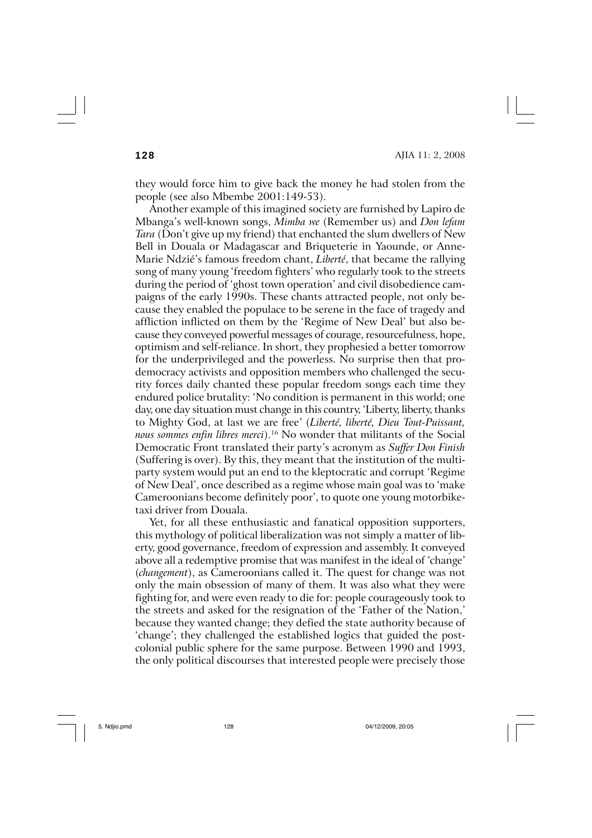they would force him to give back the money he had stolen from the people (see also Mbembe 2001:149-53).

Another example of this imagined society are furnished by Lapiro de Mbanga's well-known songs, *Mimba we* (Remember us) and *Don lefam Tara* (Don't give up my friend) that enchanted the slum dwellers of New Bell in Douala or Madagascar and Briqueterie in Yaounde, or Anne-Marie Ndzié's famous freedom chant, *Liberté*, that became the rallying song of many young 'freedom fighters' who regularly took to the streets during the period of 'ghost town operation' and civil disobedience campaigns of the early 1990s. These chants attracted people, not only because they enabled the populace to be serene in the face of tragedy and affliction inflicted on them by the 'Regime of New Deal' but also because they conveyed powerful messages of courage, resourcefulness, hope, optimism and self-reliance. In short, they prophesied a better tomorrow for the underprivileged and the powerless. No surprise then that prodemocracy activists and opposition members who challenged the security forces daily chanted these popular freedom songs each time they endured police brutality: 'No condition is permanent in this world; one day, one day situation must change in this country, 'Liberty, liberty, thanks to Mighty God, at last we are free' (*Liberté, liberté, Dieu Tout-Puissant, nous sommes enfin libres merci*).16 No wonder that militants of the Social Democratic Front translated their party's acronym as *Suffer Don Finish* (Suffering is over). By this, they meant that the institution of the multiparty system would put an end to the kleptocratic and corrupt 'Regime of New Deal', once described as a regime whose main goal was to 'make Cameroonians become definitely poor', to quote one young motorbiketaxi driver from Douala.

Yet, for all these enthusiastic and fanatical opposition supporters, this mythology of political liberalization was not simply a matter of liberty, good governance, freedom of expression and assembly. It conveyed above all a redemptive promise that was manifest in the ideal of *'*change' (*changement*), as Cameroonians called it. The quest for change was not only the main obsession of many of them. It was also what they were fighting for, and were even ready to die for: people courageously took to the streets and asked for the resignation of the 'Father of the Nation,' because they wanted change; they defied the state authority because of 'change'; they challenged the established logics that guided the postcolonial public sphere for the same purpose. Between 1990 and 1993, the only political discourses that interested people were precisely those

5. Ndjio.pmd 128 04/12/2009, 20:05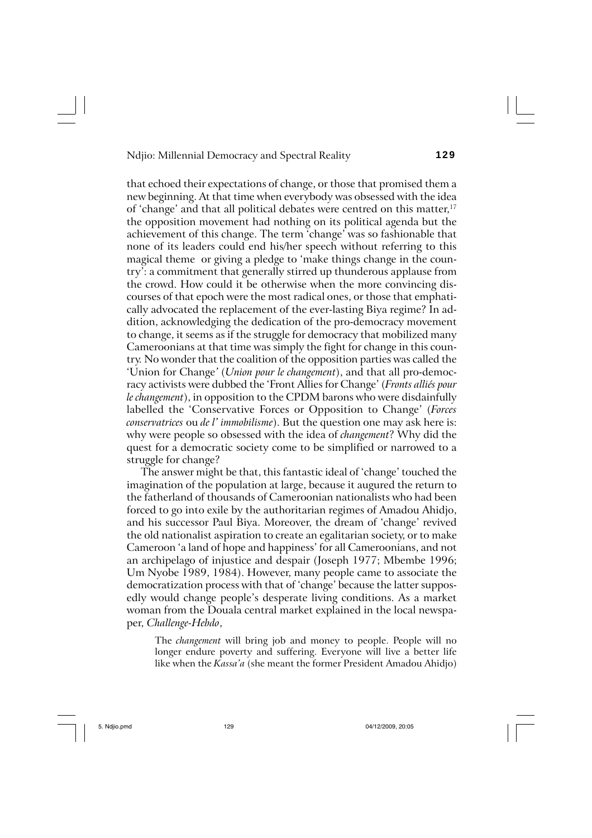that echoed their expectations of change, or those that promised them a new beginning. At that time when everybody was obsessed with the idea of 'change' and that all political debates were centred on this matter,<sup>17</sup> the opposition movement had nothing on its political agenda but the achievement of this change. The term 'change' was so fashionable that none of its leaders could end his/her speech without referring to this magical theme or giving a pledge to 'make things change in the country': a commitment that generally stirred up thunderous applause from the crowd. How could it be otherwise when the more convincing discourses of that epoch were the most radical ones, or those that emphatically advocated the replacement of the ever-lasting Biya regime? In addition, acknowledging the dedication of the pro-democracy movement to change, it seems as if the struggle for democracy that mobilized many Cameroonians at that time was simply the fight for change in this country. No wonder that the coalition of the opposition parties was called the 'Union for Change*'* (*Union pour le changement*), and that all pro-democracy activists were dubbed the 'Front Allies for Change' (*Fronts alliés pour le changement*), in opposition to the CPDM barons who were disdainfully labelled the 'Conservative Forces or Opposition to Change' (*Forces conservatrices* ou *de l' immobilisme*). But the question one may ask here is: why were people so obsessed with the idea of *changement*? Why did the quest for a democratic society come to be simplified or narrowed to a struggle for change?

The answer might be that, this fantastic ideal of 'change' touched the imagination of the population at large, because it augured the return to the fatherland of thousands of Cameroonian nationalists who had been forced to go into exile by the authoritarian regimes of Amadou Ahidjo, and his successor Paul Biya. Moreover, the dream of 'change' revived the old nationalist aspiration to create an egalitarian society, or to make Cameroon 'a land of hope and happiness' for all Cameroonians, and not an archipelago of injustice and despair (Joseph 1977; Mbembe 1996; Um Nyobe 1989, 1984). However, many people came to associate the democratization process with that of 'change' because the latter supposedly would change people's desperate living conditions. As a market woman from the Douala central market explained in the local newspaper, *Challenge-Hebdo*,

The *changement* will bring job and money to people. People will no longer endure poverty and suffering. Everyone will live a better life like when the *Kassa'a* (she meant the former President Amadou Ahidjo)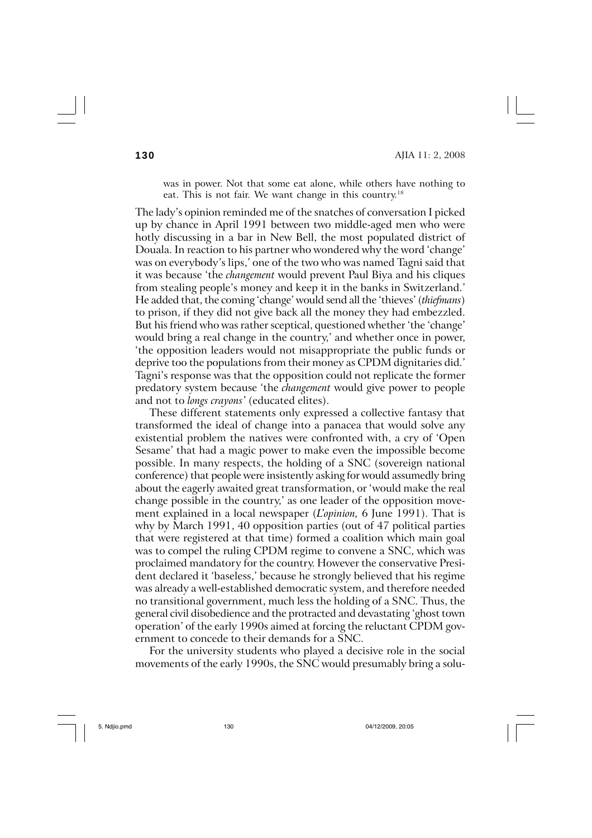was in power. Not that some eat alone, while others have nothing to eat. This is not fair. We want change in this country.<sup>18</sup>

The lady's opinion reminded me of the snatches of conversation I picked up by chance in April 1991 between two middle-aged men who were hotly discussing in a bar in New Bell, the most populated district of Douala. In reaction to his partner who wondered why the word 'change' was on everybody's lips,' one of the two who was named Tagni said that it was because 'the *changement* would prevent Paul Biya and his cliques from stealing people's money and keep it in the banks in Switzerland.' He added that, the coming 'change' would send all the 'thieves' (*thiefmans*) to prison, if they did not give back all the money they had embezzled. But his friend who was rather sceptical, questioned whether 'the 'change' would bring a real change in the country,' and whether once in power, 'the opposition leaders would not misappropriate the public funds or deprive too the populations from their money as CPDM dignitaries did.' Tagni's response was that the opposition could not replicate the former predatory system because 'the *changement* would give power to people and not to *longs crayons'* (educated elites).

These different statements only expressed a collective fantasy that transformed the ideal of change into a panacea that would solve any existential problem the natives were confronted with, a cry of 'Open Sesame' that had a magic power to make even the impossible become possible. In many respects, the holding of a SNC (sovereign national conference) that people were insistently asking for would assumedly bring about the eagerly awaited great transformation, or 'would make the real change possible in the country,' as one leader of the opposition movement explained in a local newspaper (*L'opinion,* 6 June 1991). That is why by March 1991, 40 opposition parties (out of 47 political parties that were registered at that time) formed a coalition which main goal was to compel the ruling CPDM regime to convene a SNC, which was proclaimed mandatory for the country. However the conservative President declared it 'baseless,' because he strongly believed that his regime was already a well-established democratic system, and therefore needed no transitional government, much less the holding of a SNC. Thus, the general civil disobedience and the protracted and devastating 'ghost town operation' of the early 1990s aimed at forcing the reluctant CPDM government to concede to their demands for a SNC.

For the university students who played a decisive role in the social movements of the early 1990s, the SNC would presumably bring a solu-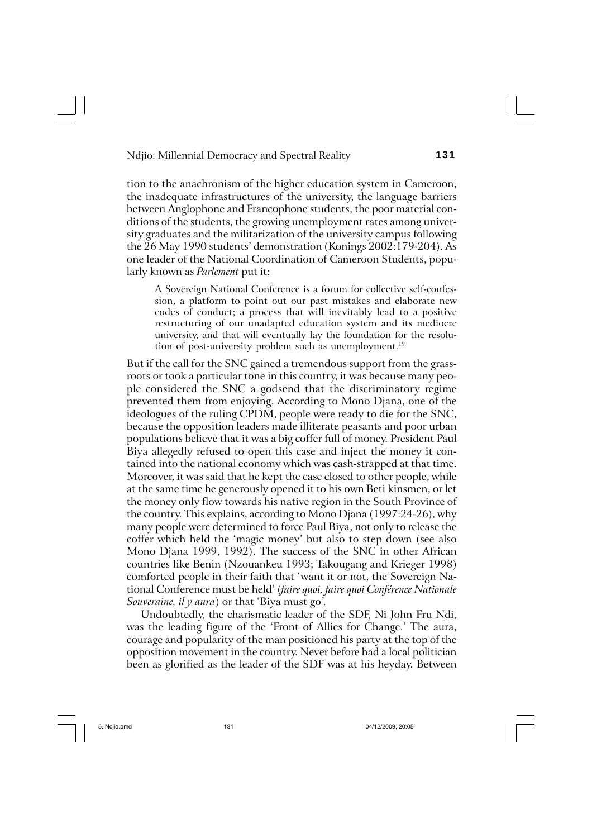tion to the anachronism of the higher education system in Cameroon, the inadequate infrastructures of the university, the language barriers between Anglophone and Francophone students, the poor material conditions of the students, the growing unemployment rates among university graduates and the militarization of the university campus following the 26 May 1990 students' demonstration (Konings 2002:179-204). As one leader of the National Coordination of Cameroon Students, popularly known as *Parlement* put it:

A Sovereign National Conference is a forum for collective self-confession, a platform to point out our past mistakes and elaborate new codes of conduct; a process that will inevitably lead to a positive restructuring of our unadapted education system and its mediocre university, and that will eventually lay the foundation for the resolution of post-university problem such as unemployment.<sup>19</sup>

But if the call for the SNC gained a tremendous support from the grassroots or took a particular tone in this country, it was because many people considered the SNC a godsend that the discriminatory regime prevented them from enjoying. According to Mono Djana, one of the ideologues of the ruling CPDM, people were ready to die for the SNC, because the opposition leaders made illiterate peasants and poor urban populations believe that it was a big coffer full of money. President Paul Biya allegedly refused to open this case and inject the money it contained into the national economy which was cash-strapped at that time. Moreover, it was said that he kept the case closed to other people, while at the same time he generously opened it to his own Beti kinsmen, or let the money only flow towards his native region in the South Province of the country. This explains, according to Mono Djana (1997:24-26), why many people were determined to force Paul Biya, not only to release the coffer which held the 'magic money' but also to step down (see also Mono Djana 1999, 1992). The success of the SNC in other African countries like Benin (Nzouankeu 1993; Takougang and Krieger 1998) comforted people in their faith that 'want it or not, the Sovereign National Conference must be held' (*faire quoi, faire quoi Conférence Nationale Souveraine, il y aura*) or that 'Biya must go*'.*

Undoubtedly, the charismatic leader of the SDF, Ni John Fru Ndi, was the leading figure of the 'Front of Allies for Change.' The aura, courage and popularity of the man positioned his party at the top of the opposition movement in the country. Never before had a local politician been as glorified as the leader of the SDF was at his heyday. Between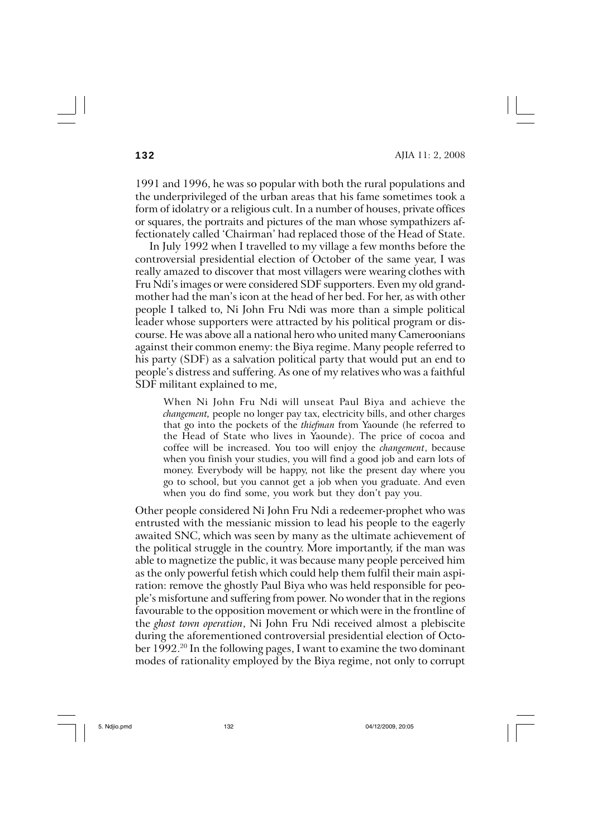1991 and 1996, he was so popular with both the rural populations and the underprivileged of the urban areas that his fame sometimes took a form of idolatry or a religious cult. In a number of houses, private offices or squares, the portraits and pictures of the man whose sympathizers affectionately called 'Chairman' had replaced those of the Head of State.

In July 1992 when I travelled to my village a few months before the controversial presidential election of October of the same year, I was really amazed to discover that most villagers were wearing clothes with Fru Ndi's images or were considered SDF supporters. Even my old grandmother had the man's icon at the head of her bed. For her, as with other people I talked to, Ni John Fru Ndi was more than a simple political leader whose supporters were attracted by his political program or discourse. He was above all a national hero who united many Cameroonians against their common enemy: the Biya regime. Many people referred to his party (SDF) as a salvation political party that would put an end to people's distress and suffering. As one of my relatives who was a faithful SDF militant explained to me,

When Ni John Fru Ndi will unseat Paul Biya and achieve the *changement,* people no longer pay tax, electricity bills, and other charges that go into the pockets of the *thiefman* from Yaounde (he referred to the Head of State who lives in Yaounde). The price of cocoa and coffee will be increased. You too will enjoy the *changement*, because when you finish your studies, you will find a good job and earn lots of money. Everybody will be happy, not like the present day where you go to school, but you cannot get a job when you graduate. And even when you do find some, you work but they don't pay you.

Other people considered Ni John Fru Ndi a redeemer-prophet who was entrusted with the messianic mission to lead his people to the eagerly awaited SNC, which was seen by many as the ultimate achievement of the political struggle in the country. More importantly, if the man was able to magnetize the public, it was because many people perceived him as the only powerful fetish which could help them fulfil their main aspiration: remove the ghostly Paul Biya who was held responsible for people's misfortune and suffering from power. No wonder that in the regions favourable to the opposition movement or which were in the frontline of the *ghost town operation*, Ni John Fru Ndi received almost a plebiscite during the aforementioned controversial presidential election of October 1992.20 In the following pages, I want to examine the two dominant modes of rationality employed by the Biya regime, not only to corrupt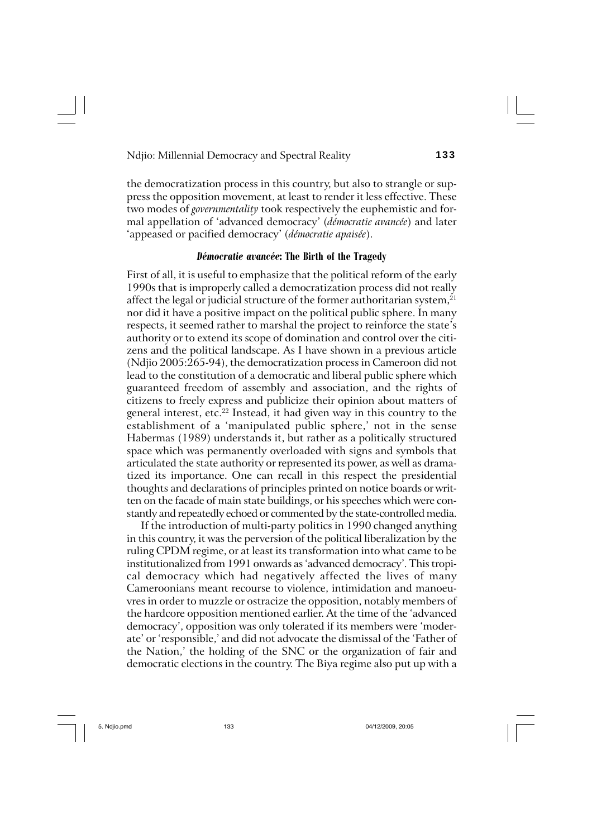the democratization process in this country, but also to strangle or suppress the opposition movement, at least to render it less effective. These two modes of *governmentality* took respectively the euphemistic and formal appellation of 'advanced democracy' (*démocratie avancée*) and later 'appeased or pacified democracy' (*démocratie apaisée*).

# *Démocratie avancée***: The Birth of the Tragedy**

First of all, it is useful to emphasize that the political reform of the early 1990s that is improperly called a democratization process did not really affect the legal or judicial structure of the former authoritarian system,<sup>21</sup> nor did it have a positive impact on the political public sphere. In many respects, it seemed rather to marshal the project to reinforce the state's authority or to extend its scope of domination and control over the citizens and the political landscape. As I have shown in a previous article (Ndjio 2005:265-94), the democratization process in Cameroon did not lead to the constitution of a democratic and liberal public sphere which guaranteed freedom of assembly and association, and the rights of citizens to freely express and publicize their opinion about matters of general interest, etc.<sup>22</sup> Instead, it had given way in this country to the establishment of a 'manipulated public sphere,' not in the sense Habermas (1989) understands it, but rather as a politically structured space which was permanently overloaded with signs and symbols that articulated the state authority or represented its power, as well as dramatized its importance. One can recall in this respect the presidential thoughts and declarations of principles printed on notice boards or written on the facade of main state buildings, or his speeches which were constantly and repeatedly echoed or commented by the state-controlled media.

If the introduction of multi-party politics in 1990 changed anything in this country, it was the perversion of the political liberalization by the ruling CPDM regime, or at least its transformation into what came to be institutionalized from 1991 onwards as 'advanced democracy'. This tropical democracy which had negatively affected the lives of many Cameroonians meant recourse to violence, intimidation and manoeuvres in order to muzzle or ostracize the opposition, notably members of the hardcore opposition mentioned earlier. At the time of the 'advanced democracy', opposition was only tolerated if its members were 'moderate' or 'responsible,' and did not advocate the dismissal of the 'Father of the Nation,' the holding of the SNC or the organization of fair and democratic elections in the country. The Biya regime also put up with a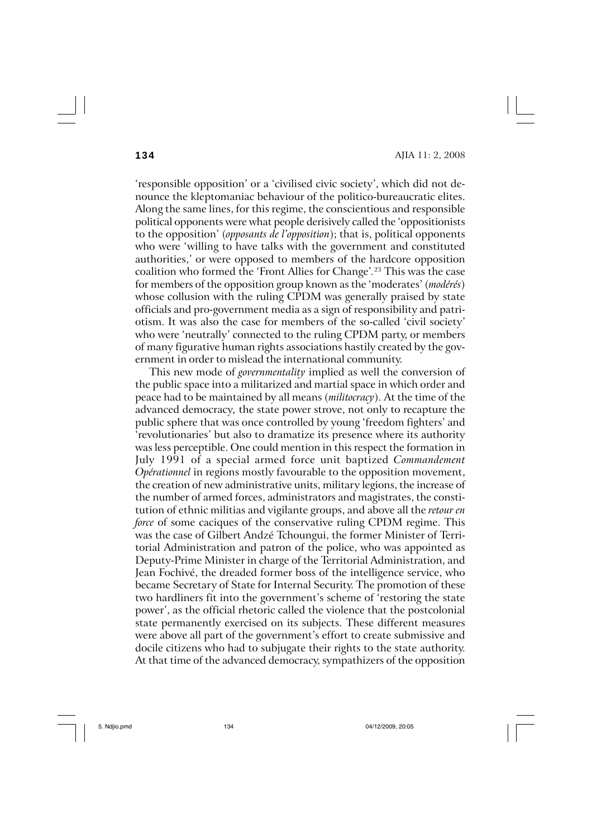'responsible opposition' or a 'civilised civic society', which did not denounce the kleptomaniac behaviour of the politico-bureaucratic elites. Along the same lines, for this regime, the conscientious and responsible political opponents were what people derisively called the 'oppositionists to the opposition' (*opposants de l'opposition*); that is, political opponents who were 'willing to have talks with the government and constituted authorities,' or were opposed to members of the hardcore opposition coalition who formed the 'Front Allies for Change'*.* 23 This was the case for members of the opposition group known as the 'moderates' (*modérés*) whose collusion with the ruling CPDM was generally praised by state officials and pro-government media as a sign of responsibility and patriotism. It was also the case for members of the so-called 'civil society' who were 'neutrally' connected to the ruling CPDM party, or members of many figurative human rights associations hastily created by the government in order to mislead the international community.

This new mode of *governmentality* implied as well the conversion of the public space into a militarized and martial space in which order and peace had to be maintained by all means (*militocracy*). At the time of the advanced democracy*,* the state power strove, not only to recapture the public sphere that was once controlled by young 'freedom fighters' and 'revolutionaries' but also to dramatize its presence where its authority was less perceptible. One could mention in this respect the formation in July 1991 of a special armed force unit baptized *Commandement Opérationnel* in regions mostly favourable to the opposition movement, the creation of new administrative units, military legions, the increase of the number of armed forces, administrators and magistrates, the constitution of ethnic militias and vigilante groups, and above all the *retour en force* of some caciques of the conservative ruling CPDM regime. This was the case of Gilbert Andzé Tchoungui, the former Minister of Territorial Administration and patron of the police, who was appointed as Deputy-Prime Minister in charge of the Territorial Administration, and Jean Fochivé, the dreaded former boss of the intelligence service, who became Secretary of State for Internal Security. The promotion of these two hardliners fit into the government's scheme of 'restoring the state power', as the official rhetoric called the violence that the postcolonial state permanently exercised on its subjects. These different measures were above all part of the government's effort to create submissive and docile citizens who had to subjugate their rights to the state authority. At that time of the advanced democracy, sympathizers of the opposition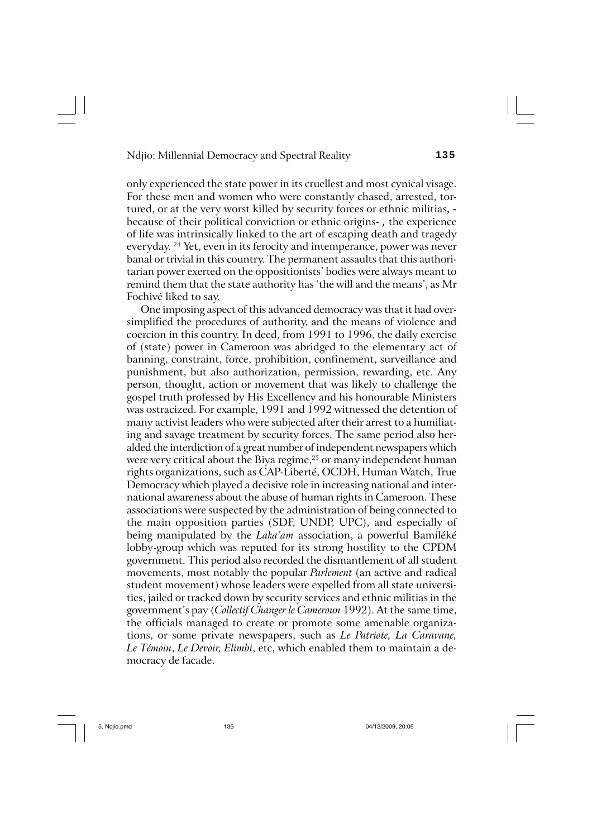only experienced the state power in its cruellest and most cynical visage. For these men and women who were constantly chased, arrested, tortured, or at the very worst killed by security forces or ethnic militias*,*  because of their political conviction or ethnic origins- *,* the experience of life was intrinsically linked to the art of escaping death and tragedy everyday. 24 Yet, even in its ferocity and intemperance, power was never banal or trivial in this country. The permanent assaults that this authoritarian power exerted on the oppositionists' bodies were always meant to remind them that the state authority has 'the will and the means', as Mr Fochivé liked to say.

One imposing aspect of this advanced democracy was that it had oversimplified the procedures of authority, and the means of violence and coercion in this country. In deed, from 1991 to 1996, the daily exercise of (state) power in Cameroon was abridged to the elementary act of banning, constraint, force, prohibition, confinement, surveillance and punishment, but also authorization, permission, rewarding, etc. Any person, thought, action or movement that was likely to challenge the gospel truth professed by His Excellency and his honourable Ministers was ostracized. For example, 1991 and 1992 witnessed the detention of many activist leaders who were subjected after their arrest to a humiliating and savage treatment by security forces. The same period also heralded the interdiction of a great number of independent newspapers which were very critical about the Biya regime,<sup>25</sup> or many independent human rights organizations, such as CAP-Liberté, OCDH, Human Watch, True Democracy which played a decisive role in increasing national and international awareness about the abuse of human rights in Cameroon. These associations were suspected by the administration of being connected to the main opposition parties (SDF, UNDP, UPC), and especially of being manipulated by the *Laka'am* association, a powerful Bamiléké lobby-group which was reputed for its strong hostility to the CPDM government. This period also recorded the dismantlement of all student movements, most notably the popular *Parlement* (an active and radical student movement) whose leaders were expelled from all state universities, jailed or tracked down by security services and ethnic militias in the government's pay (*Collectif Changer le Cameroun* 1992). At the same time, the officials managed to create or promote some amenable organizations, or some private newspapers, such as *Le Patriote, La Caravane, Le Témoin*, *Le Devoir, Elimbi*, etc, which enabled them to maintain a democracy de facade.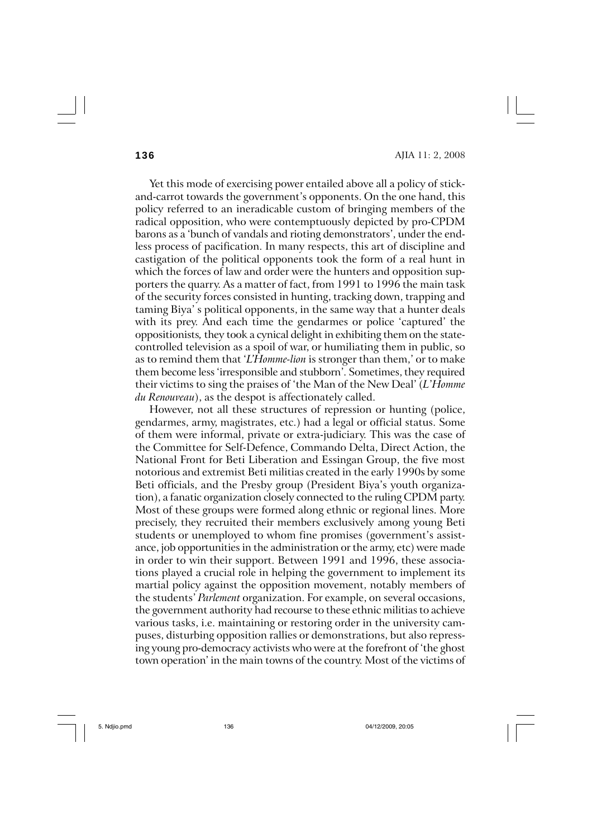Yet this mode of exercising power entailed above all a policy of stickand-carrot towards the government's opponents. On the one hand, this policy referred to an ineradicable custom of bringing members of the radical opposition, who were contemptuously depicted by pro-CPDM barons as a 'bunch of vandals and rioting demonstrators', under the endless process of pacification. In many respects, this art of discipline and castigation of the political opponents took the form of a real hunt in which the forces of law and order were the hunters and opposition supporters the quarry. As a matter of fact, from 1991 to 1996 the main task of the security forces consisted in hunting, tracking down, trapping and taming Biya' s political opponents, in the same way that a hunter deals with its prey. And each time the gendarmes or police 'captured' the oppositionists*,* they took a cynical delight in exhibiting them on the statecontrolled television as a spoil of war, or humiliating them in public, so as to remind them that '*L'Homme-lion* is stronger than them,' or to make them become less 'irresponsible and stubborn'. Sometimes, they required their victims to sing the praises of 'the Man of the New Deal' (*L*'*Homme du Renouveau*), as the despot is affectionately called.

However, not all these structures of repression or hunting (police, gendarmes, army, magistrates, etc.) had a legal or official status. Some of them were informal, private or extra-judiciary. This was the case of the Committee for Self-Defence, Commando Delta, Direct Action, the National Front for Beti Liberation and Essingan Group, the five most notorious and extremist Beti militias created in the early 1990s by some Beti officials, and the Presby group (President Biya's youth organization), a fanatic organization closely connected to the ruling CPDM party. Most of these groups were formed along ethnic or regional lines. More precisely, they recruited their members exclusively among young Beti students or unemployed to whom fine promises (government's assistance, job opportunities in the administration or the army, etc) were made in order to win their support. Between 1991 and 1996, these associations played a crucial role in helping the government to implement its martial policy against the opposition movement, notably members of the students' *Parlement* organization. For example, on several occasions, the government authority had recourse to these ethnic militias to achieve various tasks, i.e. maintaining or restoring order in the university campuses, disturbing opposition rallies or demonstrations, but also repressing young pro-democracy activists who were at the forefront of 'the ghost town operation' in the main towns of the country. Most of the victims of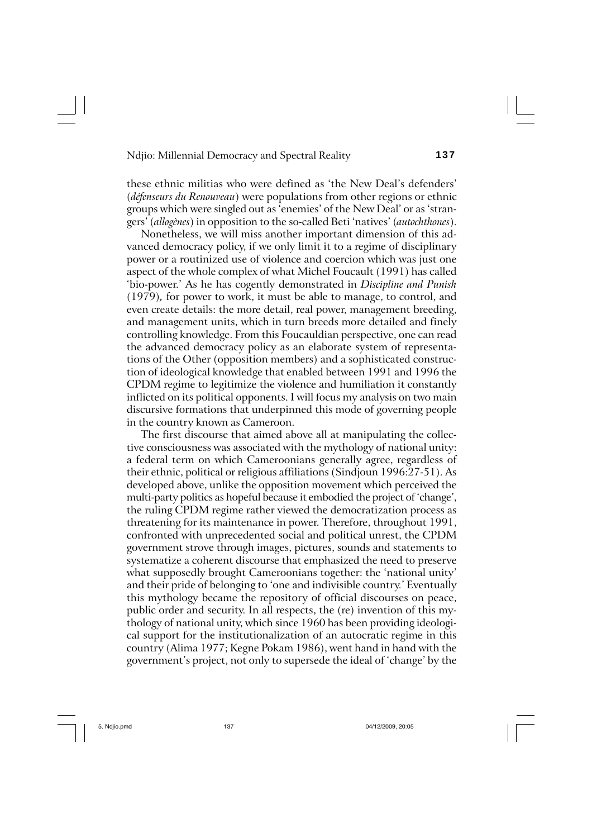these ethnic militias who were defined as 'the New Deal's defenders' (*défenseurs du Renouveau*) were populations from other regions or ethnic groups which were singled out as 'enemies' of the New Deal' or as 'strangers' (*allogènes*) in opposition to the so-called Beti 'natives' (*autochthones*).

Nonetheless, we will miss another important dimension of this advanced democracy policy, if we only limit it to a regime of disciplinary power or a routinized use of violence and coercion which was just one aspect of the whole complex of what Michel Foucault (1991) has called 'bio-power.' As he has cogently demonstrated in *Discipline and Punish* (1979)*,* for power to work, it must be able to manage, to control, and even create details: the more detail, real power, management breeding, and management units, which in turn breeds more detailed and finely controlling knowledge. From this Foucauldian perspective, one can read the advanced democracy policy as an elaborate system of representations of the Other (opposition members) and a sophisticated construction of ideological knowledge that enabled between 1991 and 1996 the CPDM regime to legitimize the violence and humiliation it constantly inflicted on its political opponents. I will focus my analysis on two main discursive formations that underpinned this mode of governing people in the country known as Cameroon.

The first discourse that aimed above all at manipulating the collective consciousness was associated with the mythology of national unity: a federal term on which Cameroonians generally agree, regardless of their ethnic, political or religious affiliations (Sindjoun 1996:27-51). As developed above, unlike the opposition movement which perceived the multi-party politics as hopeful because it embodied the project of 'change', the ruling CPDM regime rather viewed the democratization process as threatening for its maintenance in power. Therefore, throughout 1991, confronted with unprecedented social and political unrest, the CPDM government strove through images, pictures, sounds and statements to systematize a coherent discourse that emphasized the need to preserve what supposedly brought Cameroonians together: the 'national unity' and their pride of belonging to 'one and indivisible country.' Eventually this mythology became the repository of official discourses on peace, public order and security. In all respects, the (re) invention of this mythology of national unity, which since 1960 has been providing ideological support for the institutionalization of an autocratic regime in this country (Alima 1977; Kegne Pokam 1986), went hand in hand with the government's project, not only to supersede the ideal of 'change' by the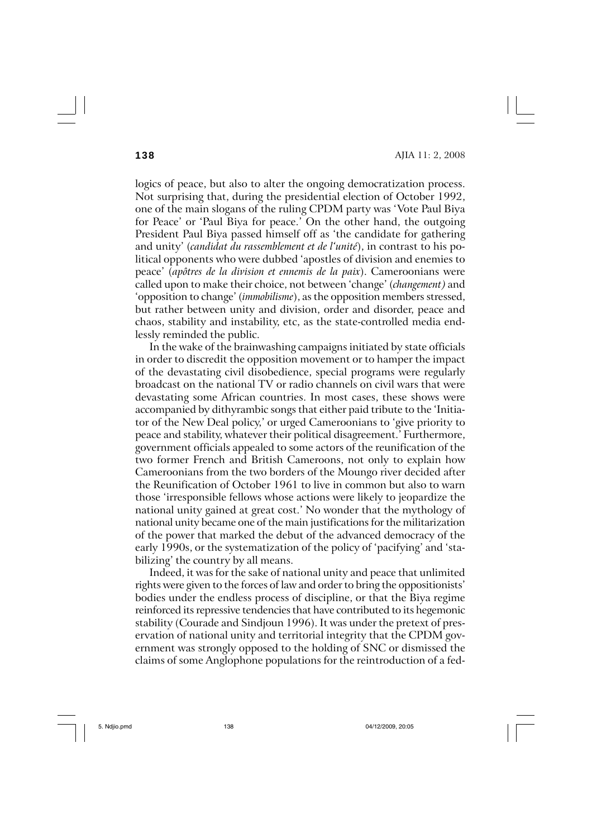**138** AJIA 11: 2, 2008

logics of peace, but also to alter the ongoing democratization process. Not surprising that, during the presidential election of October 1992, one of the main slogans of the ruling CPDM party was 'Vote Paul Biya for Peace' or 'Paul Biya for peace.' On the other hand, the outgoing President Paul Biya passed himself off as 'the candidate for gathering and unity' (*candidat du rassemblement et de l'unité*), in contrast to his political opponents who were dubbed 'apostles of division and enemies to peace' (*apôtres de la division et ennemis de la paix*). Cameroonians were called upon to make their choice, not between 'change' (*changement)* and 'opposition to change' (*immobilisme*), as the opposition members stressed, but rather between unity and division, order and disorder, peace and chaos, stability and instability, etc, as the state-controlled media endlessly reminded the public.

In the wake of the brainwashing campaigns initiated by state officials in order to discredit the opposition movement or to hamper the impact of the devastating civil disobedience, special programs were regularly broadcast on the national TV or radio channels on civil wars that were devastating some African countries. In most cases, these shows were accompanied by dithyrambic songs that either paid tribute to the 'Initiator of the New Deal policy,' or urged Cameroonians to 'give priority to peace and stability, whatever their political disagreement.' Furthermore, government officials appealed to some actors of the reunification of the two former French and British Cameroons, not only to explain how Cameroonians from the two borders of the Moungo river decided after the Reunification of October 1961 to live in common but also to warn those 'irresponsible fellows whose actions were likely to jeopardize the national unity gained at great cost.' No wonder that the mythology of national unity became one of the main justifications for the militarization of the power that marked the debut of the advanced democracy of the early 1990s, or the systematization of the policy of 'pacifying' and 'stabilizing' the country by all means.

Indeed, it was for the sake of national unity and peace that unlimited rights were given to the forces of law and order to bring the oppositionists' bodies under the endless process of discipline, or that the Biya regime reinforced its repressive tendencies that have contributed to its hegemonic stability (Courade and Sindjoun 1996). It was under the pretext of preservation of national unity and territorial integrity that the CPDM government was strongly opposed to the holding of SNC or dismissed the claims of some Anglophone populations for the reintroduction of a fed-

5. Ndjio.pmd 138 04/12/2009, 20:05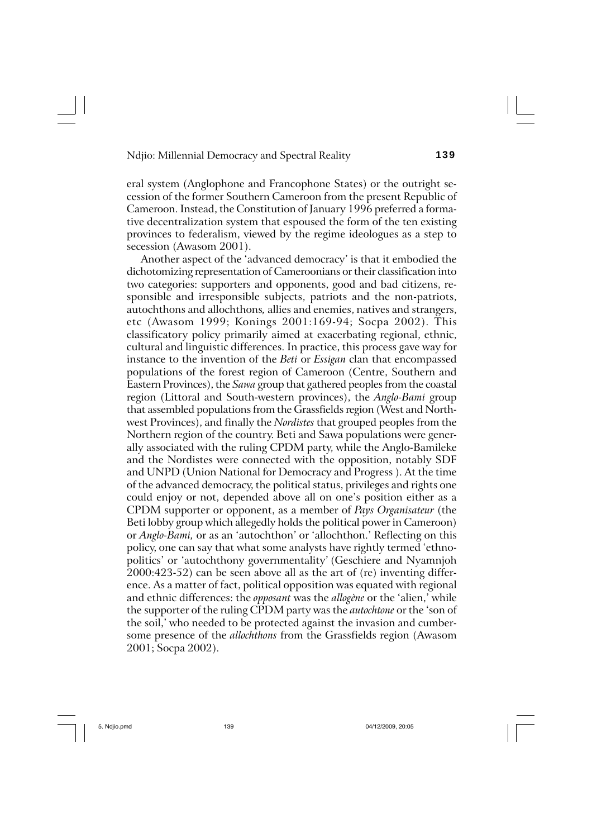eral system (Anglophone and Francophone States) or the outright secession of the former Southern Cameroon from the present Republic of Cameroon. Instead, the Constitution of January 1996 preferred a formative decentralization system that espoused the form of the ten existing provinces to federalism, viewed by the regime ideologues as a step to secession (Awasom 2001).

Another aspect of the 'advanced democracy' is that it embodied the dichotomizing representation of Cameroonians or their classification into two categories: supporters and opponents, good and bad citizens, responsible and irresponsible subjects, patriots and the non-patriots, autochthons and allochthons*,* allies and enemies, natives and strangers, etc (Awasom 1999; Konings 2001:169-94; Socpa 2002). This classificatory policy primarily aimed at exacerbating regional, ethnic, cultural and linguistic differences. In practice, this process gave way for instance to the invention of the *Beti* or *Essigan* clan that encompassed populations of the forest region of Cameroon (Centre, Southern and Eastern Provinces), the *Sawa* group that gathered peoples from the coastal region (Littoral and South-western provinces), the *Anglo-Bami* group that assembled populations from the Grassfields region (West and Northwest Provinces), and finally the *Nordistes* that grouped peoples from the Northern region of the country. Beti and Sawa populations were generally associated with the ruling CPDM party, while the Anglo-Bamileke and the Nordistes were connected with the opposition, notably SDF and UNPD (Union National for Democracy and Progress ). At the time of the advanced democracy, the political status, privileges and rights one could enjoy or not, depended above all on one's position either as a CPDM supporter or opponent, as a member of *Pays Organisateur* (the Beti lobby group which allegedly holds the political power in Cameroon) or *Anglo-Bami,* or as an 'autochthon' or 'allochthon.' Reflecting on this policy, one can say that what some analysts have rightly termed 'ethnopolitics' or 'autochthony governmentality' (Geschiere and Nyamnjoh 2000:423-52) can be seen above all as the art of (re) inventing difference. As a matter of fact, political opposition was equated with regional and ethnic differences: the *opposant* was the *allogène* or the 'alien,' while the supporter of the ruling CPDM party was the *autochtone* or the 'son of the soil,' who needed to be protected against the invasion and cumbersome presence of the *allochthons* from the Grassfields region (Awasom 2001; Socpa 2002).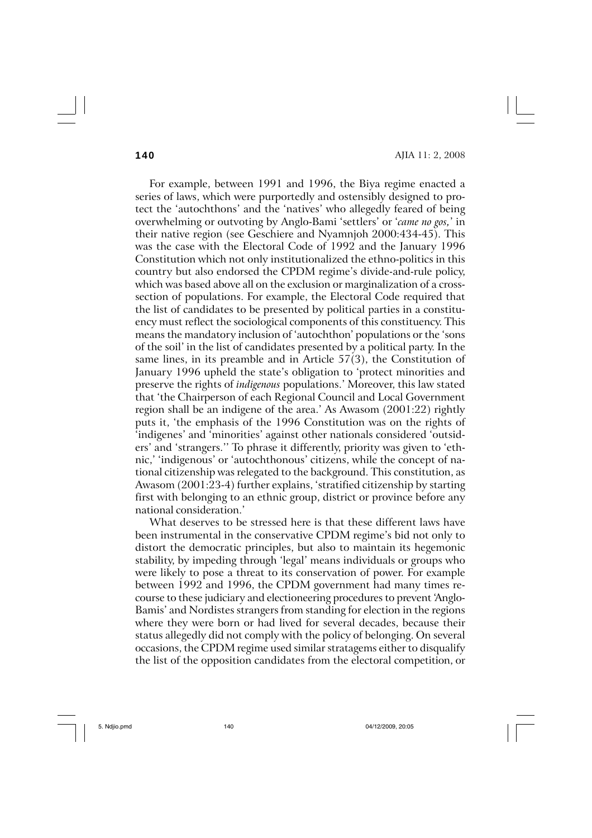**140** AJIA 11: 2, 2008

For example, between 1991 and 1996, the Biya regime enacted a series of laws, which were purportedly and ostensibly designed to protect the 'autochthons' and the 'natives' who allegedly feared of being overwhelming or outvoting by Anglo-Bami 'settlers' or '*came no gos,*' in their native region (see Geschiere and Nyamnjoh 2000:434-45). This was the case with the Electoral Code of 1992 and the January 1996 Constitution which not only institutionalized the ethno-politics in this country but also endorsed the CPDM regime's divide-and-rule policy, which was based above all on the exclusion or marginalization of a crosssection of populations. For example, the Electoral Code required that the list of candidates to be presented by political parties in a constituency must reflect the sociological components of this constituency. This means the mandatory inclusion of 'autochthon' populations or the 'sons of the soil' in the list of candidates presented by a political party. In the same lines, in its preamble and in Article 57(3), the Constitution of January 1996 upheld the state's obligation to 'protect minorities and preserve the rights of *indigenous* populations.' Moreover, this law stated that 'the Chairperson of each Regional Council and Local Government region shall be an indigene of the area.' As Awasom (2001:22) rightly puts it, 'the emphasis of the 1996 Constitution was on the rights of 'indigenes' and 'minorities' against other nationals considered 'outsiders' and 'strangers.'' To phrase it differently, priority was given to 'ethnic,' 'indigenous' or 'autochthonous' citizens, while the concept of national citizenship was relegated to the background. This constitution, as Awasom (2001:23-4) further explains, 'stratified citizenship by starting first with belonging to an ethnic group, district or province before any national consideration.'

What deserves to be stressed here is that these different laws have been instrumental in the conservative CPDM regime's bid not only to distort the democratic principles, but also to maintain its hegemonic stability, by impeding through 'legal' means individuals or groups who were likely to pose a threat to its conservation of power. For example between 1992 and 1996, the CPDM government had many times recourse to these judiciary and electioneering procedures to prevent 'Anglo-Bamis' and Nordistes strangers from standing for election in the regions where they were born or had lived for several decades, because their status allegedly did not comply with the policy of belonging. On several occasions, the CPDM regime used similar stratagems either to disqualify the list of the opposition candidates from the electoral competition, or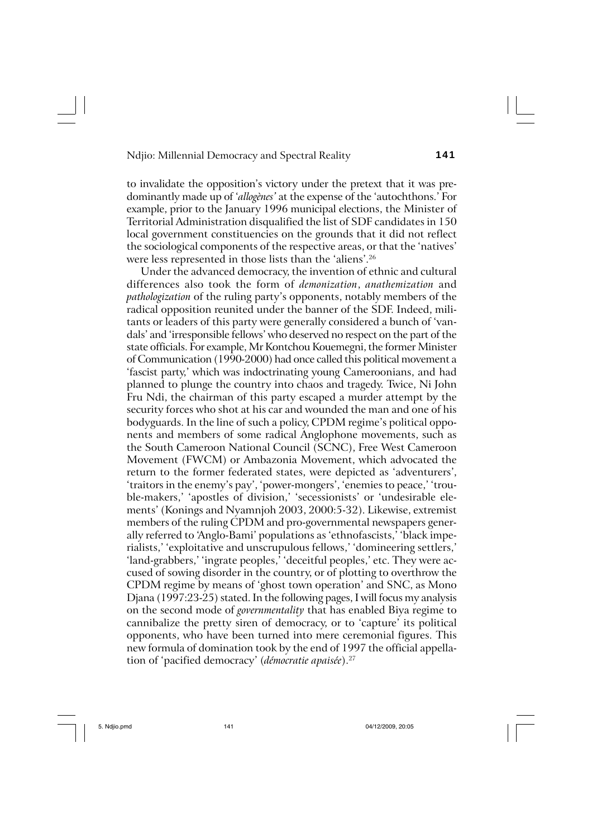to invalidate the opposition's victory under the pretext that it was predominantly made up of '*allogènes'* at the expense of the 'autochthons.' For example, prior to the January 1996 municipal elections, the Minister of Territorial Administration disqualified the list of SDF candidates in 150 local government constituencies on the grounds that it did not reflect the sociological components of the respective areas, or that the 'natives' were less represented in those lists than the 'aliens'.26

Under the advanced democracy, the invention of ethnic and cultural differences also took the form of *demonization*, *anathemization* and *pathologization* of the ruling party's opponents, notably members of the radical opposition reunited under the banner of the SDF. Indeed, militants or leaders of this party were generally considered a bunch of 'vandals' and 'irresponsible fellows' who deserved no respect on the part of the state officials. For example, Mr Kontchou Kouemegni, the former Minister of Communication (1990-2000) had once called this political movement a 'fascist party,' which was indoctrinating young Cameroonians, and had planned to plunge the country into chaos and tragedy. Twice, Ni John Fru Ndi, the chairman of this party escaped a murder attempt by the security forces who shot at his car and wounded the man and one of his bodyguards. In the line of such a policy, CPDM regime's political opponents and members of some radical Anglophone movements, such as the South Cameroon National Council (SCNC), Free West Cameroon Movement (FWCM) or Ambazonia Movement, which advocated the return to the former federated states, were depicted as 'adventurers', 'traitors in the enemy's pay', 'power-mongers', 'enemies to peace,' 'trouble-makers,' 'apostles of division,' 'secessionists' or 'undesirable elements' (Konings and Nyamnjoh 2003, 2000:5-32). Likewise, extremist members of the ruling CPDM and pro-governmental newspapers generally referred to 'Anglo-Bami' populations as 'ethnofascists,' 'black imperialists,' 'exploitative and unscrupulous fellows,' 'domineering settlers,' 'land-grabbers,' 'ingrate peoples,' 'deceitful peoples,' etc. They were accused of sowing disorder in the country, or of plotting to overthrow the CPDM regime by means of 'ghost town operation' and SNC, as Mono Djana (1997:23-25) stated. In the following pages, I will focus my analysis on the second mode of *governmentality* that has enabled Biya regime to cannibalize the pretty siren of democracy, or to 'capture' its political opponents, who have been turned into mere ceremonial figures. This new formula of domination took by the end of 1997 the official appellation of 'pacified democracy' (*démocratie apaisée*).27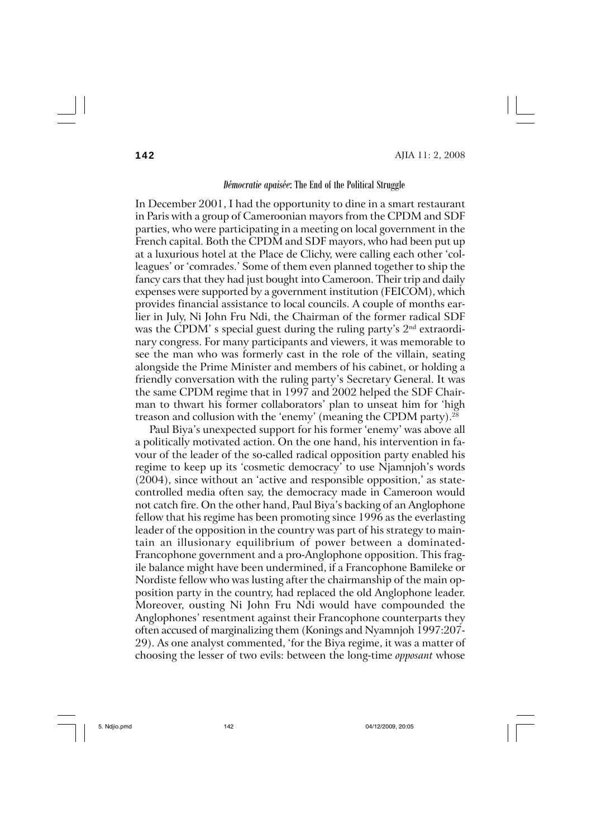## *Démocratie apaisée*: The End of the Political Struggle

In December 2001, I had the opportunity to dine in a smart restaurant in Paris with a group of Cameroonian mayors from the CPDM and SDF parties, who were participating in a meeting on local government in the French capital. Both the CPDM and SDF mayors, who had been put up at a luxurious hotel at the Place de Clichy, were calling each other 'colleagues' or 'comrades.' Some of them even planned together to ship the fancy cars that they had just bought into Cameroon. Their trip and daily expenses were supported by a government institution (FEICOM), which provides financial assistance to local councils. A couple of months earlier in July, Ni John Fru Ndi, the Chairman of the former radical SDF was the CPDM's special guest during the ruling party's  $2<sup>nd</sup>$  extraordinary congress. For many participants and viewers, it was memorable to see the man who was formerly cast in the role of the villain, seating alongside the Prime Minister and members of his cabinet, or holding a friendly conversation with the ruling party's Secretary General. It was the same CPDM regime that in 1997 and 2002 helped the SDF Chairman to thwart his former collaborators' plan to unseat him for 'high treason and collusion with the 'enemy' (meaning the CPDM party).28

Paul Biya's unexpected support for his former 'enemy' was above all a politically motivated action. On the one hand, his intervention in favour of the leader of the so-called radical opposition party enabled his regime to keep up its 'cosmetic democracy' to use Njamnjoh's words (2004), since without an 'active and responsible opposition,' as statecontrolled media often say, the democracy made in Cameroon would not catch fire. On the other hand, Paul Biya's backing of an Anglophone fellow that his regime has been promoting since 1996 as the everlasting leader of the opposition in the country was part of his strategy to maintain an illusionary equilibrium of power between a dominated-Francophone government and a pro-Anglophone opposition. This fragile balance might have been undermined, if a Francophone Bamileke or Nordiste fellow who was lusting after the chairmanship of the main opposition party in the country, had replaced the old Anglophone leader. Moreover, ousting Ni John Fru Ndi would have compounded the Anglophones' resentment against their Francophone counterparts they often accused of marginalizing them (Konings and Nyamnjoh 1997:207- 29). As one analyst commented, 'for the Biya regime, it was a matter of choosing the lesser of two evils: between the long-time *opposant* whose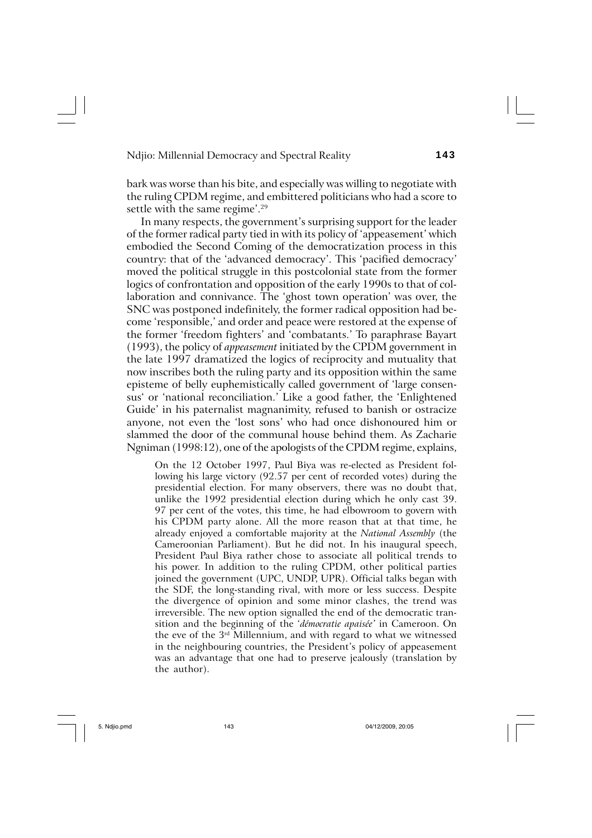bark was worse than his bite, and especially was willing to negotiate with the ruling CPDM regime, and embittered politicians who had a score to settle with the same regime'.<sup>29</sup>

In many respects, the government's surprising support for the leader of the former radical party tied in with its policy of 'appeasement' which embodied the Second Coming of the democratization process in this country: that of the 'advanced democracy'. This 'pacified democracy' moved the political struggle in this postcolonial state from the former logics of confrontation and opposition of the early 1990s to that of collaboration and connivance. The 'ghost town operation' was over, the SNC was postponed indefinitely, the former radical opposition had become 'responsible,' and order and peace were restored at the expense of the former 'freedom fighters' and 'combatants.' To paraphrase Bayart (1993), the policy of *appeasement* initiated by the CPDM government in the late 1997 dramatized the logics of reciprocity and mutuality that now inscribes both the ruling party and its opposition within the same episteme of belly euphemistically called government of 'large consensus' or 'national reconciliation.' Like a good father, the 'Enlightened Guide' in his paternalist magnanimity, refused to banish or ostracize anyone, not even the 'lost sons' who had once dishonoured him or slammed the door of the communal house behind them. As Zacharie Ngniman (1998:12), one of the apologists of the CPDM regime, explains,

On the 12 October 1997, Paul Biya was re-elected as President following his large victory (92.57 per cent of recorded votes) during the presidential election. For many observers, there was no doubt that, unlike the 1992 presidential election during which he only cast 39. 97 per cent of the votes, this time, he had elbowroom to govern with his CPDM party alone. All the more reason that at that time, he already enjoyed a comfortable majority at the *National Assembly* (the Cameroonian Parliament). But he did not. In his inaugural speech, President Paul Biya rather chose to associate all political trends to his power. In addition to the ruling CPDM, other political parties joined the government (UPC, UNDP, UPR). Official talks began with the SDF, the long-standing rival, with more or less success. Despite the divergence of opinion and some minor clashes, the trend was irreversible. The new option signalled the end of the democratic transition and the beginning of the '*démocratie apaisée'* in Cameroon. On the eve of the 3<sup>rd</sup> Millennium, and with regard to what we witnessed in the neighbouring countries, the President's policy of appeasement was an advantage that one had to preserve jealously (translation by the author).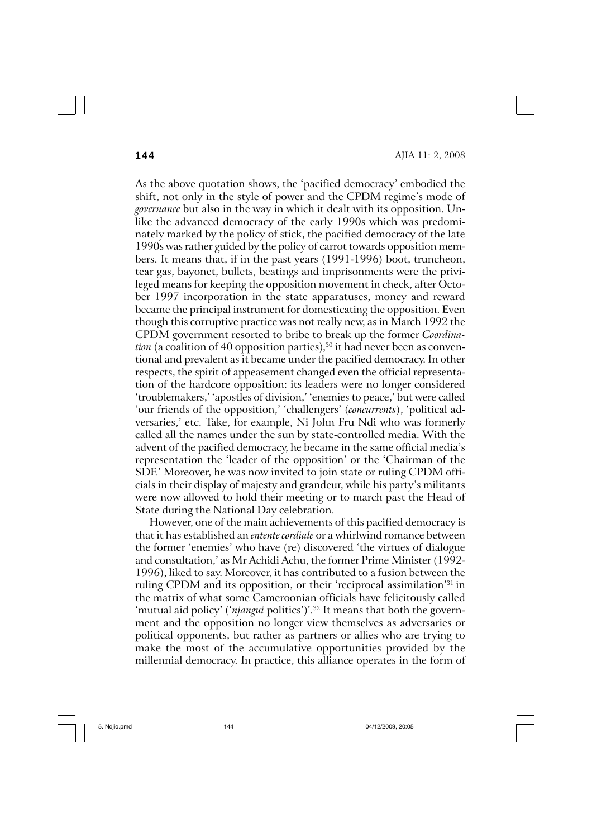As the above quotation shows, the 'pacified democracy' embodied the shift, not only in the style of power and the CPDM regime's mode of *governance* but also in the way in which it dealt with its opposition. Unlike the advanced democracy of the early 1990s which was predominately marked by the policy of stick, the pacified democracy of the late 1990s was rather guided by the policy of carrot towards opposition members. It means that, if in the past years (1991-1996) boot, truncheon, tear gas, bayonet, bullets, beatings and imprisonments were the privileged means for keeping the opposition movement in check, after October 1997 incorporation in the state apparatuses, money and reward became the principal instrument for domesticating the opposition. Even though this corruptive practice was not really new, as in March 1992 the CPDM government resorted to bribe to break up the former *Coordination* (a coalition of 40 opposition parties),<sup>30</sup> it had never been as conventional and prevalent as it became under the pacified democracy. In other respects, the spirit of appeasement changed even the official representation of the hardcore opposition: its leaders were no longer considered 'troublemakers,' 'apostles of division,' 'enemies to peace,' but were called 'our friends of the opposition,' 'challengers' (*concurrents*), 'political adversaries,' etc. Take, for example, Ni John Fru Ndi who was formerly called all the names under the sun by state-controlled media. With the advent of the pacified democracy, he became in the same official media's representation the 'leader of the opposition' or the 'Chairman of the SDF.' Moreover, he was now invited to join state or ruling CPDM officials in their display of majesty and grandeur, while his party's militants were now allowed to hold their meeting or to march past the Head of State during the National Day celebration.

However, one of the main achievements of this pacified democracy is that it has established an *entente cordiale* or a whirlwind romance between the former 'enemies' who have (re) discovered 'the virtues of dialogue and consultation,' as Mr Achidi Achu, the former Prime Minister (1992- 1996), liked to say. Moreover, it has contributed to a fusion between the ruling CPDM and its opposition, or their 'reciprocal assimilation'31 in the matrix of what some Cameroonian officials have felicitously called 'mutual aid policy' ('*njangui* politics')'.32 It means that both the government and the opposition no longer view themselves as adversaries or political opponents, but rather as partners or allies who are trying to make the most of the accumulative opportunities provided by the millennial democracy. In practice, this alliance operates in the form of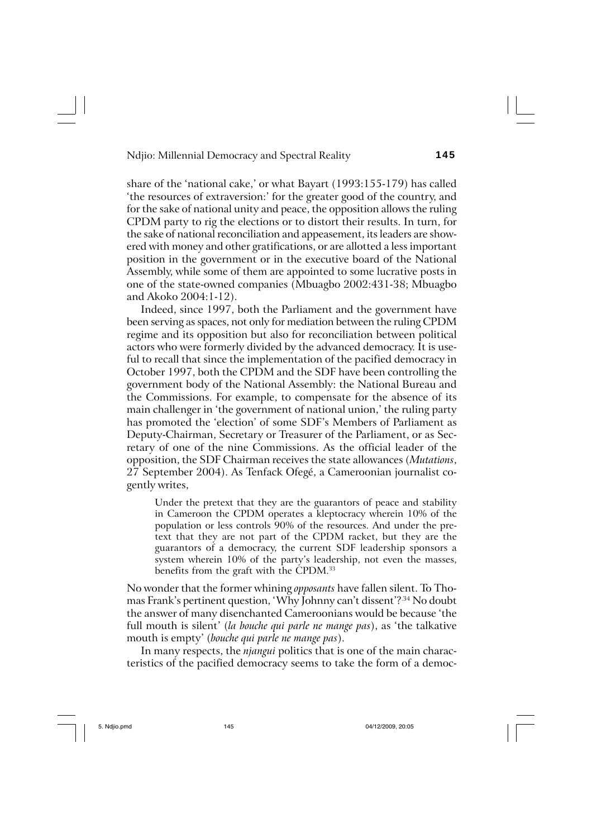share of the 'national cake,' or what Bayart (1993:155-179) has called 'the resources of extraversion:' for the greater good of the country, and for the sake of national unity and peace, the opposition allows the ruling CPDM party to rig the elections or to distort their results. In turn, for the sake of national reconciliation and appeasement, its leaders are showered with money and other gratifications, or are allotted a less important position in the government or in the executive board of the National Assembly, while some of them are appointed to some lucrative posts in one of the state-owned companies (Mbuagbo 2002:431-38; Mbuagbo and Akoko 2004:1-12).

Indeed, since 1997, both the Parliament and the government have been serving as spaces, not only for mediation between the ruling CPDM regime and its opposition but also for reconciliation between political actors who were formerly divided by the advanced democracy. It is useful to recall that since the implementation of the pacified democracy in October 1997, both the CPDM and the SDF have been controlling the government body of the National Assembly: the National Bureau and the Commissions. For example, to compensate for the absence of its main challenger in 'the government of national union,' the ruling party has promoted the 'election' of some SDF's Members of Parliament as Deputy-Chairman, Secretary or Treasurer of the Parliament, or as Secretary of one of the nine Commissions. As the official leader of the opposition, the SDF Chairman receives the state allowances (*Mutations*, 27 September 2004). As Tenfack Ofegé, a Cameroonian journalist cogently writes,

Under the pretext that they are the guarantors of peace and stability in Cameroon the CPDM operates a kleptocracy wherein 10% of the population or less controls 90% of the resources. And under the pretext that they are not part of the CPDM racket, but they are the guarantors of a democracy, the current SDF leadership sponsors a system wherein 10% of the party's leadership, not even the masses, benefits from the graft with the CPDM.33

No wonder that the former whining *opposants* have fallen silent. To Thomas Frank's pertinent question, 'Why Johnny can't dissent'?.34 No doubt the answer of many disenchanted Cameroonians would be because 'the full mouth is silent' (*la bouche qui parle ne mange pas*), as 'the talkative mouth is empty' (*bouche qui parle ne mange pas*).

In many respects, the *njangui* politics that is one of the main characteristics of the pacified democracy seems to take the form of a democ-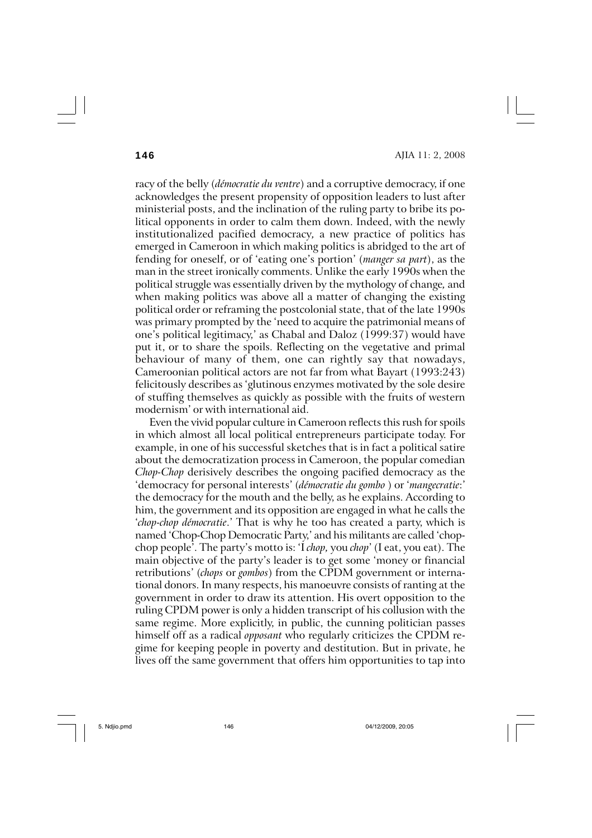racy of the belly (*démocratie du ventre*) and a corruptive democracy, if one acknowledges the present propensity of opposition leaders to lust after ministerial posts, and the inclination of the ruling party to bribe its political opponents in order to calm them down. Indeed, with the newly institutionalized pacified democracy*,* a new practice of politics has emerged in Cameroon in which making politics is abridged to the art of fending for oneself, or of 'eating one's portion' (*manger sa part*), as the man in the street ironically comments. Unlike the early 1990s when the political struggle was essentially driven by the mythology of change*,* and when making politics was above all a matter of changing the existing political order or reframing the postcolonial state, that of the late 1990s was primary prompted by the 'need to acquire the patrimonial means of one's political legitimacy,' as Chabal and Daloz (1999:37) would have put it, or to share the spoils. Reflecting on the vegetative and primal behaviour of many of them, one can rightly say that nowadays, Cameroonian political actors are not far from what Bayart (1993:243) felicitously describes as 'glutinous enzymes motivated by the sole desire of stuffing themselves as quickly as possible with the fruits of western modernism' or with international aid.

Even the vivid popular culture in Cameroon reflects this rush for spoils in which almost all local political entrepreneurs participate today. For example, in one of his successful sketches that is in fact a political satire about the democratization process in Cameroon, the popular comedian *Chop-Chop* derisively describes the ongoing pacified democracy as the 'democracy for personal interests' (*démocratie du gombo* ) or '*mangecratie*:' the democracy for the mouth and the belly, as he explains. According to him, the government and its opposition are engaged in what he calls the '*chop-chop démocratie*.' That is why he too has created a party, which is named 'Chop-Chop Democratic Party,' and his militants are called 'chopchop people'. The party's motto is: 'I *chop,* you *chop*' (I eat, you eat). The main objective of the party's leader is to get some 'money or financial retributions' (*chops* or *gombos*) from the CPDM government or international donors. In many respects, his manoeuvre consists of ranting at the government in order to draw its attention. His overt opposition to the ruling CPDM power is only a hidden transcript of his collusion with the same regime. More explicitly, in public, the cunning politician passes himself off as a radical *opposant* who regularly criticizes the CPDM regime for keeping people in poverty and destitution. But in private, he lives off the same government that offers him opportunities to tap into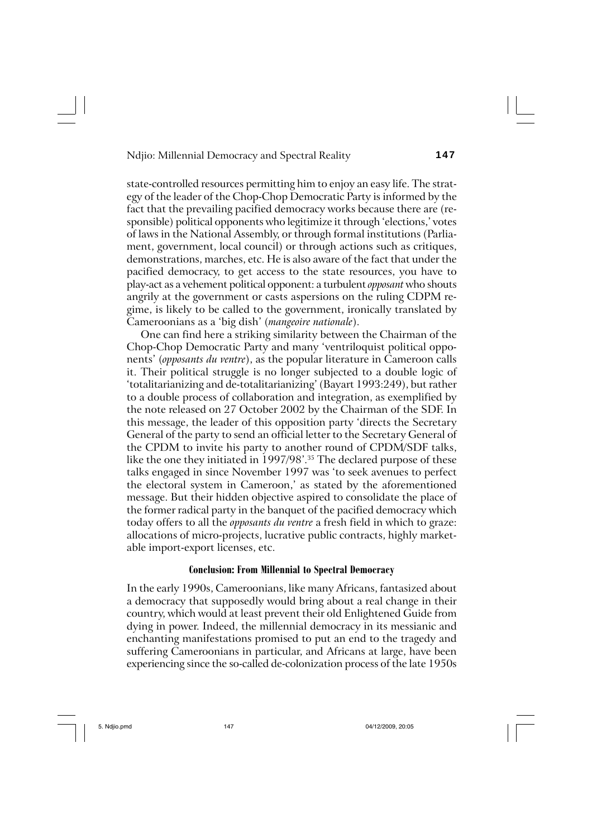state-controlled resources permitting him to enjoy an easy life. The strategy of the leader of the Chop-Chop Democratic Party is informed by the fact that the prevailing pacified democracy works because there are (responsible) political opponents who legitimize it through 'elections,' votes of laws in the National Assembly, or through formal institutions (Parliament, government, local council) or through actions such as critiques, demonstrations, marches, etc. He is also aware of the fact that under the pacified democracy, to get access to the state resources, you have to play-act as a vehement political opponent: a turbulent *opposant* who shouts angrily at the government or casts aspersions on the ruling CDPM regime, is likely to be called to the government, ironically translated by Cameroonians as a 'big dish' (*mangeoire nationale*).

One can find here a striking similarity between the Chairman of the Chop-Chop Democratic Party and many 'ventriloquist political opponents' (*opposants du ventre*), as the popular literature in Cameroon calls it. Their political struggle is no longer subjected to a double logic of 'totalitarianizing and de-totalitarianizing' (Bayart 1993:249), but rather to a double process of collaboration and integration, as exemplified by the note released on 27 October 2002 by the Chairman of the SDF. In this message, the leader of this opposition party 'directs the Secretary General of the party to send an official letter to the Secretary General of the CPDM to invite his party to another round of CPDM/SDF talks, like the one they initiated in 1997/98'.<sup>35</sup> The declared purpose of these talks engaged in since November 1997 was 'to seek avenues to perfect the electoral system in Cameroon,' as stated by the aforementioned message. But their hidden objective aspired to consolidate the place of the former radical party in the banquet of the pacified democracy which today offers to all the *opposants du ventre* a fresh field in which to graze: allocations of micro-projects, lucrative public contracts, highly marketable import-export licenses, etc.

## **Conclusion: From Millennial to Spectral Democracy**

In the early 1990s, Cameroonians, like many Africans, fantasized about a democracy that supposedly would bring about a real change in their country, which would at least prevent their old Enlightened Guide from dying in power. Indeed, the millennial democracy in its messianic and enchanting manifestations promised to put an end to the tragedy and suffering Cameroonians in particular, and Africans at large, have been experiencing since the so-called de-colonization process of the late 1950s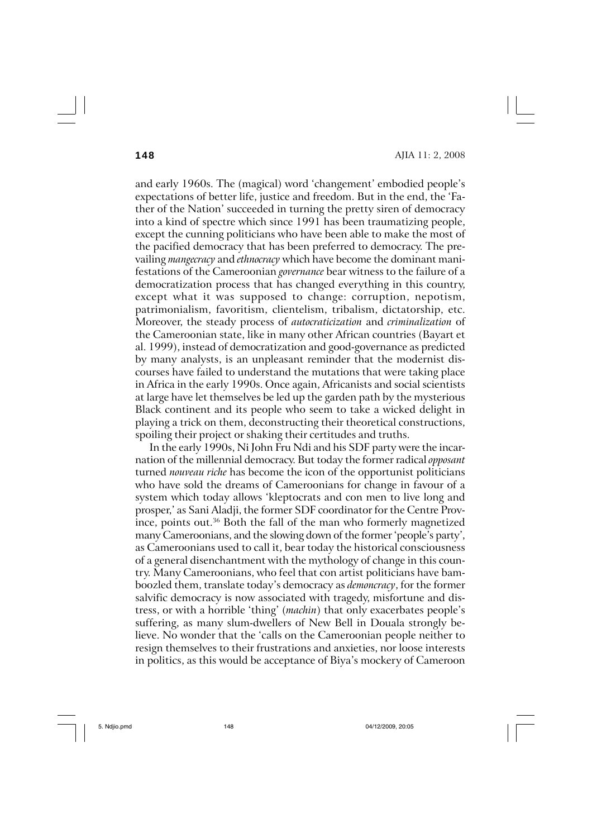and early 1960s. The (magical) word 'changement' embodied people's expectations of better life, justice and freedom. But in the end, the 'Father of the Nation' succeeded in turning the pretty siren of democracy into a kind of spectre which since 1991 has been traumatizing people, except the cunning politicians who have been able to make the most of the pacified democracy that has been preferred to democracy. The prevailing *mangecracy* and *ethnocracy* which have become the dominant manifestations of the Cameroonian *governance* bear witness to the failure of a democratization process that has changed everything in this country, except what it was supposed to change: corruption, nepotism, patrimonialism, favoritism, clientelism, tribalism, dictatorship, etc. Moreover, the steady process of *autocraticization* and *criminalization* of the Cameroonian state, like in many other African countries (Bayart et al. 1999), instead of democratization and good-governance as predicted by many analysts, is an unpleasant reminder that the modernist discourses have failed to understand the mutations that were taking place in Africa in the early 1990s. Once again, Africanists and social scientists at large have let themselves be led up the garden path by the mysterious Black continent and its people who seem to take a wicked delight in playing a trick on them, deconstructing their theoretical constructions, spoiling their project or shaking their certitudes and truths.

In the early 1990s, Ni John Fru Ndi and his SDF party were the incarnation of the millennial democracy. But today the former radical *opposant* turned *nouveau riche* has become the icon of the opportunist politicians who have sold the dreams of Cameroonians for change in favour of a system which today allows 'kleptocrats and con men to live long and prosper,' as Sani Aladji, the former SDF coordinator for the Centre Province, points out.36 Both the fall of the man who formerly magnetized many Cameroonians, and the slowing down of the former 'people's party', as Cameroonians used to call it, bear today the historical consciousness of a general disenchantment with the mythology of change in this country. Many Cameroonians, who feel that con artist politicians have bamboozled them, translate today's democracy as *demoncracy*, for the former salvific democracy is now associated with tragedy, misfortune and distress, or with a horrible 'thing' (*machin*) that only exacerbates people's suffering, as many slum-dwellers of New Bell in Douala strongly believe. No wonder that the 'calls on the Cameroonian people neither to resign themselves to their frustrations and anxieties, nor loose interests in politics, as this would be acceptance of Biya's mockery of Cameroon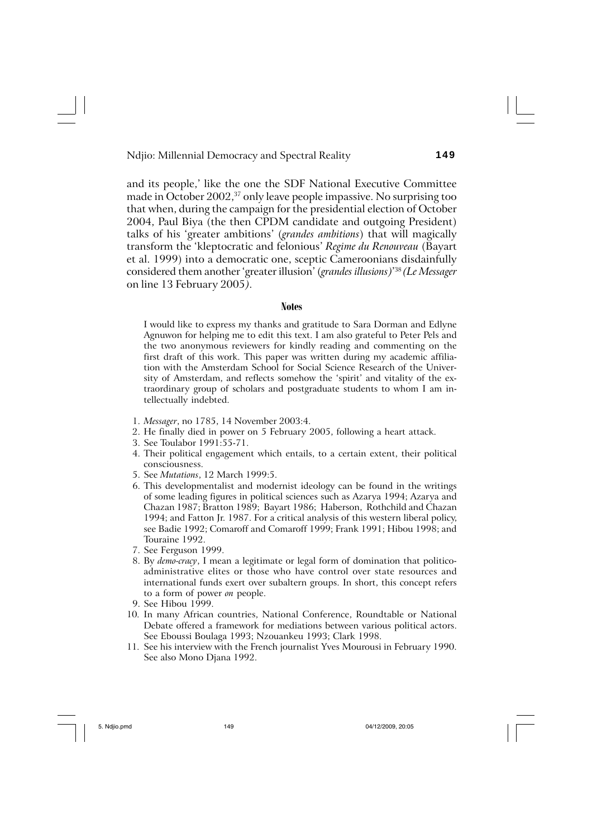and its people,' like the one the SDF National Executive Committee made in October 2002,37 only leave people impassive. No surprising too that when, during the campaign for the presidential election of October 2004, Paul Biya (the then CPDM candidate and outgoing President) talks of his 'greater ambitions' (*grandes ambitions*) that will magically transform the 'kleptocratic and felonious' *Regime du Renouveau* (Bayart et al. 1999) into a democratic one, sceptic Cameroonians disdainfully considered them another 'greater illusion' (*grandes illusions)*' <sup>38</sup>*(Le Messager* on line 13 February 2005*)*.

#### **Notes**

I would like to express my thanks and gratitude to Sara Dorman and Edlyne Agnuwon for helping me to edit this text. I am also grateful to Peter Pels and the two anonymous reviewers for kindly reading and commenting on the first draft of this work. This paper was written during my academic affiliation with the Amsterdam School for Social Science Research of the University of Amsterdam, and reflects somehow the 'spirit' and vitality of the extraordinary group of scholars and postgraduate students to whom I am intellectually indebted.

- 1. *Messager*, no 1785, 14 November 2003:4.
- 2. He finally died in power on 5 February 2005, following a heart attack.
- 3. See Toulabor 1991:55-71.
- 4. Their political engagement which entails, to a certain extent, their political consciousness.
- 5. See *Mutations*, 12 March 1999:5.
- 6. This developmentalist and modernist ideology can be found in the writings of some leading figures in political sciences such as Azarya 1994; Azarya and Chazan 1987; Bratton 1989; Bayart 1986; Haberson, Rothchild and Chazan 1994; and Fatton Jr. 1987. For a critical analysis of this western liberal policy, see Badie 1992; Comaroff and Comaroff 1999; Frank 1991; Hibou 1998; and Touraine 1992.
- 7. See Ferguson 1999.
- 8. By *demo-cracy*, I mean a legitimate or legal form of domination that politicoadministrative elites or those who have control over state resources and international funds exert over subaltern groups. In short, this concept refers to a form of power *on* people.
- 9. See Hibou 1999.
- 10. In many African countries, National Conference, Roundtable or National Debate offered a framework for mediations between various political actors. See Eboussi Boulaga 1993; Nzouankeu 1993; Clark 1998.
- 11. See his interview with the French journalist Yves Mourousi in February 1990. See also Mono Djana 1992.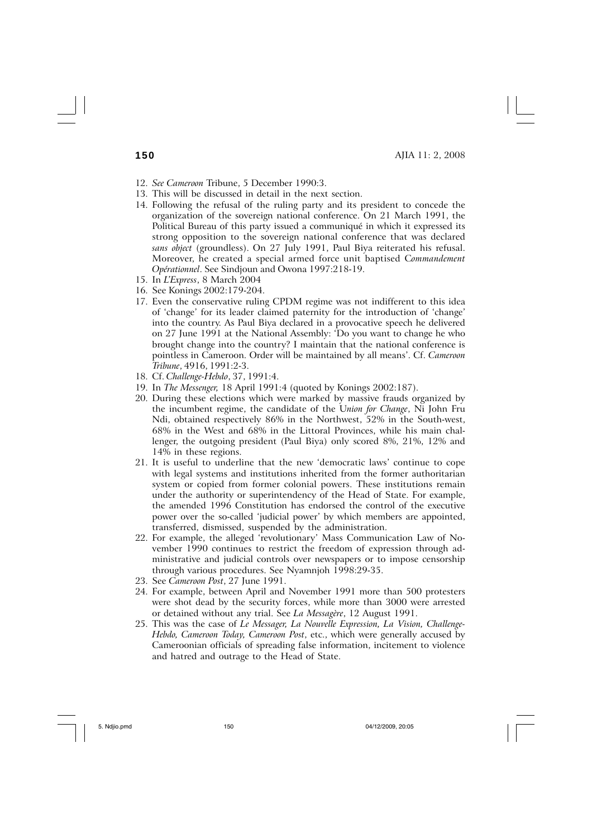- 12. *See Cameroon* Tribune, 5 December 1990:3.
- 13. This will be discussed in detail in the next section.
- 14. Following the refusal of the ruling party and its president to concede the organization of the sovereign national conference. On 21 March 1991, the Political Bureau of this party issued a communiqué in which it expressed its strong opposition to the sovereign national conference that was declared *sans object* (groundless). On 27 July 1991, Paul Biya reiterated his refusal. Moreover, he created a special armed force unit baptised C*ommandement Opérationnel*. See Sindjoun and Owona 1997:218-19.
- 15. In *L'Express*, 8 March 2004
- 16. See Konings 2002:179-204.
- 17. Even the conservative ruling CPDM regime was not indifferent to this idea of 'change' for its leader claimed paternity for the introduction of 'change' into the country. As Paul Biya declared in a provocative speech he delivered on 27 June 1991 at the National Assembly: 'Do you want to change he who brought change into the country? I maintain that the national conference is pointless in Cameroon. Order will be maintained by all means'. Cf. *Cameroon Tribune*, 4916, 1991:2-3.
- 18. Cf. *Challenge-Hebdo*, 37, 1991:4.
- 19. In *The Messenger,* 18 April 1991:4 (quoted by Konings 2002:187).
- 20. During these elections which were marked by massive frauds organized by the incumbent regime, the candidate of the U*nion for Change*, Ni John Fru Ndi, obtained respectively 86% in the Northwest, 52% in the South-west, 68% in the West and 68% in the Littoral Provinces, while his main challenger, the outgoing president (Paul Biya) only scored 8%, 21%, 12% and 14% in these regions.
- 21. It is useful to underline that the new 'democratic laws' continue to cope with legal systems and institutions inherited from the former authoritarian system or copied from former colonial powers. These institutions remain under the authority or superintendency of the Head of State. For example, the amended 1996 Constitution has endorsed the control of the executive power over the so-called 'judicial power' by which members are appointed, transferred, dismissed, suspended by the administration.
- 22. For example, the alleged 'revolutionary' Mass Communication Law of November 1990 continues to restrict the freedom of expression through administrative and judicial controls over newspapers or to impose censorship through various procedures. See Nyamnjoh 1998:29-35.
- 23. See *Cameroon Post*, 27 June 1991.
- 24. For example, between April and November 1991 more than 500 protesters were shot dead by the security forces, while more than 3000 were arrested or detained without any trial. See *La Messagère*, 12 August 1991.
- 25. This was the case of *Le Messager, La Nouvelle Expression, La Vision, Challenge-Hebdo, Cameroon Today, Cameroon Post*, etc., which were generally accused by Cameroonian officials of spreading false information, incitement to violence and hatred and outrage to the Head of State.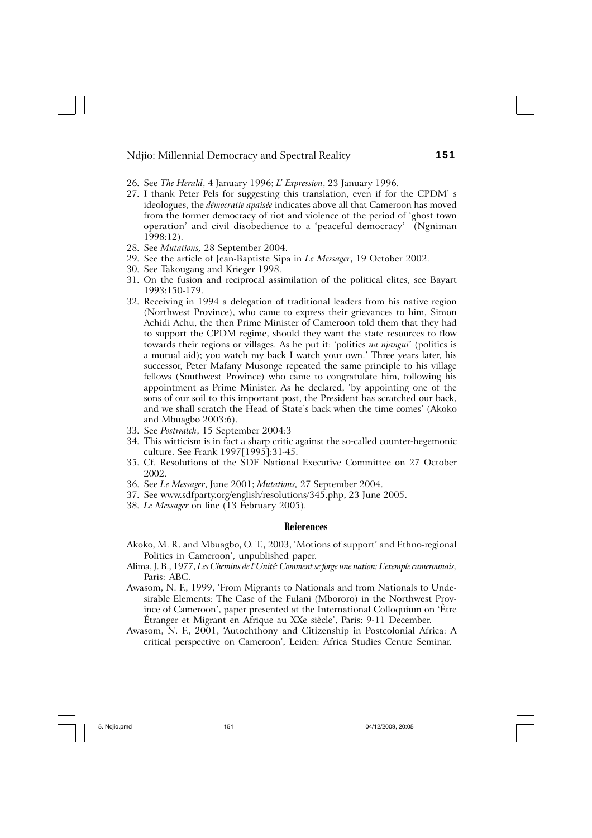- 26. See *The Herald*, 4 January 1996; *L' Expression*, 23 January 1996.
- 27. I thank Peter Pels for suggesting this translation, even if for the CPDM' s ideologues, the *démocratie apaisée* indicates above all that Cameroon has moved from the former democracy of riot and violence of the period of 'ghost town operation' and civil disobedience to a 'peaceful democracy' (Ngniman 1998:12).
- 28. See *Mutations,* 28 September 2004.
- 29. See the article of Jean-Baptiste Sipa in *Le Messager*, 19 October 2002.
- 30. See Takougang and Krieger 1998.
- 31. On the fusion and reciprocal assimilation of the political elites, see Bayart 1993:150-179.
- 32. Receiving in 1994 a delegation of traditional leaders from his native region (Northwest Province), who came to express their grievances to him, Simon Achidi Achu, the then Prime Minister of Cameroon told them that they had to support the CPDM regime, should they want the state resources to flow towards their regions or villages. As he put it: 'politics *na njangui*' (politics is a mutual aid); you watch my back I watch your own.' Three years later, his successor, Peter Mafany Musonge repeated the same principle to his village fellows (Southwest Province) who came to congratulate him, following his appointment as Prime Minister. As he declared, 'by appointing one of the sons of our soil to this important post, the President has scratched our back, and we shall scratch the Head of State's back when the time comes' (Akoko and Mbuagbo 2003:6).
- 33. See *Postwatch*, 15 September 2004:3
- 34. This witticism is in fact a sharp critic against the so-called counter-hegemonic culture. See Frank 1997[1995]:31-45.
- 35. Cf. Resolutions of the SDF National Executive Committee on 27 October 2002.
- 36. See *Le Messager*, June 2001; *Mutations,* 27 September 2004.
- 37. See www.sdfparty.org/english/resolutions/345.php, 23 June 2005.
- 38. *Le Messager* on line (13 February 2005).

## **References**

- Akoko, M. R. and Mbuagbo, O. T., 2003, 'Motions of support' and Ethno-regional Politics in Cameroon', unpublished paper.
- Alima, J. B., 1977, *Les Chemins de l'Unité: Comment se forge une nation: L'exemple camerounais,* Paris: ABC.
- Awasom, N. F., 1999, 'From Migrants to Nationals and from Nationals to Undesirable Elements: The Case of the Fulani (Mbororo) in the Northwest Province of Cameroon', paper presented at the International Colloquium on 'Être Étranger et Migrant en Afrique au XXe siècle', Paris: 9-11 December.
- Awasom, N. F., 2001, 'Autochthony and Citizenship in Postcolonial Africa: A critical perspective on Cameroon', Leiden: Africa Studies Centre Seminar.

5. Ndjio.pmd 151 04/12/2009, 20:05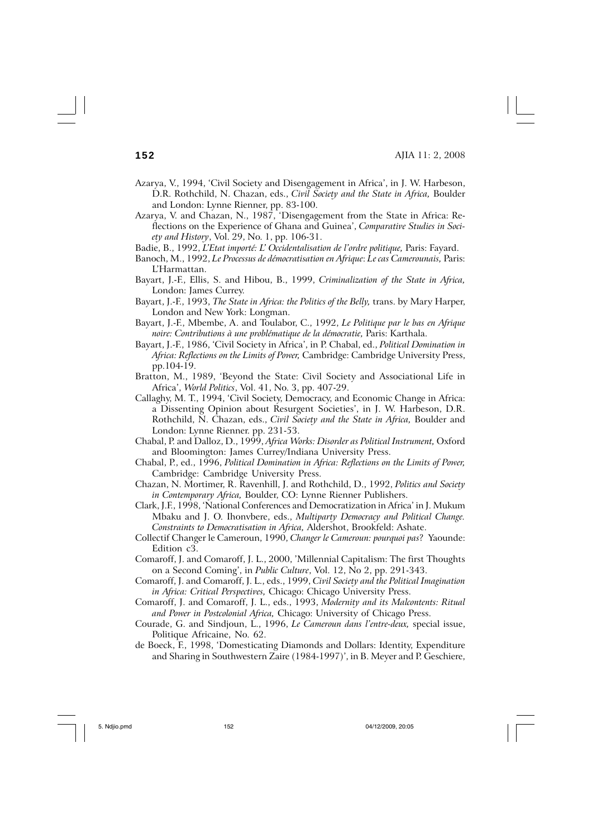- Azarya, V., 1994, 'Civil Society and Disengagement in Africa', in J. W. Harbeson, D.R. Rothchild, N. Chazan, eds., *Civil Society and the State in Africa,* Boulder and London: Lynne Rienner, pp. 83-100.
- Azarya, V. and Chazan, N., 1987, 'Disengagement from the State in Africa: Reflections on the Experience of Ghana and Guinea', *Comparative Studies in Society and History*, Vol. 29, No. 1, pp. 106-31.
- Badie, B., 1992, *L'Etat importé: L' Occidentalisation de l'ordre politique,* Paris: Fayard.
- Banoch, M., 1992, *Le Processus de démocratisation en Afrique*: *Le cas Camerounais,* Paris: L'Harmattan.
- Bayart, J.-F., Ellis, S. and Hibou, B., 1999, *Criminalization of the State in Africa,* London: James Currey.
- Bayart, J.-F., 1993, *The State in Africa: the Politics of the Belly,* trans. by Mary Harper, London and New York: Longman.
- Bayart, J.-F., Mbembe, A. and Toulabor, C., 1992, *Le Politique par le bas en Afrique noire: Contributions à une problématique de la démocratie,* Paris: Karthala.
- Bayart, J.-F., 1986, 'Civil Society in Africa', in P. Chabal, ed., *Political Domination in Africa: Reflections on the Limits of Power,* Cambridge: Cambridge University Press, pp.104-19.
- Bratton, M., 1989, 'Beyond the State: Civil Society and Associational Life in Africa', *World Politics*, Vol. 41, No. 3, pp. 407-29.
- Callaghy, M. T., 1994, 'Civil Society, Democracy, and Economic Change in Africa: a Dissenting Opinion about Resurgent Societies', in J. W. Harbeson, D.R. Rothchild, N. Chazan, eds., *Civil Society and the State in Africa,* Boulder and London: Lynne Rienner. pp. 231-53.
- Chabal, P. and Dalloz, D., 1999, *Africa Works: Disorder as Political Instrument,* Oxford and Bloomington: James Currey/Indiana University Press.
- Chabal, P., ed., 1996, *Political Domination in Africa: Reflections on the Limits of Power,* Cambridge: Cambridge University Press.
- Chazan, N. Mortimer, R. Ravenhill, J. and Rothchild, D., 1992, *Politics and Society in Contemporary Africa,* Boulder, CO: Lynne Rienner Publishers.
- Clark, J.F., 1998, 'National Conferences and Democratization in Africa' in J. Mukum Mbaku and J. O. Ihonvbere, eds., *Multiparty Democracy and Political Change. Constraints to Democratisation in Africa,* Aldershot, Brookfeld: Ashate.
- Collectif Changer le Cameroun, 1990, *Changer le Cameroun: pourquoi pas*? Yaounde: Edition c3.
- Comaroff, J. and Comaroff, J. L., 2000, 'Millennial Capitalism: The first Thoughts on a Second Coming', in *Public Culture*, Vol. 12, No 2, pp. 291-343.
- Comaroff, J. and Comaroff, J. L., eds., 1999, *Civil Society and the Political Imagination in Africa: Critical Perspectives,* Chicago: Chicago University Press.
- Comaroff, J. and Comaroff, J. L., eds., 1993, *Modernity and its Malcontents: Ritual and Power in Postcolonial Africa,* Chicago: University of Chicago Press.
- Courade, G. and Sindjoun, L., 1996, *Le Cameroun dans l'entre-deux,* special issue, Politique Africaine, No. 62.
- de Boeck, F., 1998, 'Domesticating Diamonds and Dollars: Identity, Expenditure and Sharing in Southwestern Zaire (1984-1997)', in B. Meyer and P. Geschiere,

5. Ndjio.pmd 152 04/12/2009, 20:05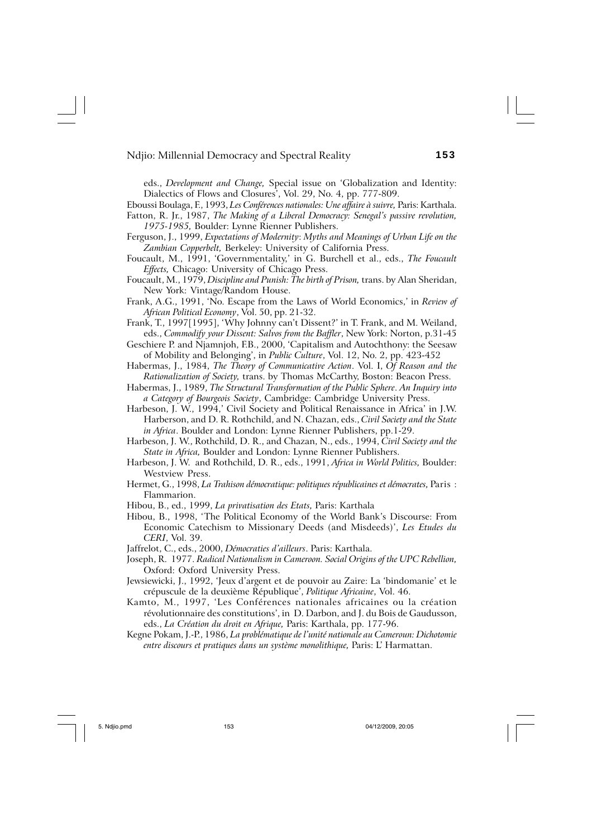eds., *Development and Change,* Special issue on 'Globalization and Identity: Dialectics of Flows and Closures', Vol. 29, No. 4, pp. 777-809.

Eboussi Boulaga, F., 1993, *Les Conférences nationales: Une affaire à suivre,* Paris: Karthala. Fatton, R. Jr., 1987, *The Making of a Liberal Democracy: Senegal's passive revolution, 1975-1985,* Boulder: Lynne Rienner Publishers.

- Ferguson, J., 1999, *Expectations of Modernity*: *Myths and Meanings of Urban Life on the Zambian Copperbelt,* Berkeley: University of California Press.
- Foucault, M., 1991, 'Governmentality,' in G. Burchell et al., eds., *The Foucault Effects,* Chicago: University of Chicago Press.
- Foucault, M., 1979, *Discipline and Punish: The birth of Prison,* trans. by Alan Sheridan, New York: Vintage/Random House.
- Frank, A.G., 1991, 'No. Escape from the Laws of World Economics,' in *Review of African Political Economy*, Vol. 50, pp. 21-32.
- Frank, T., 1997[1995], 'Why Johnny can't Dissent?' in T. Frank, and M. Weiland, eds., *Commodify your Dissent: Salvos from the Baffler*, New York: Norton, p.31-45
- Geschiere P. and Njamnjoh, F.B., 2000, 'Capitalism and Autochthony: the Seesaw of Mobility and Belonging', in *Public Culture*, Vol. 12, No. 2, pp. 423-452
- Habermas, J., 1984, *The Theory of Communicative Action*. Vol. I, *Of Reason and the Rationalization of Society,* trans. by Thomas McCarthy, Boston: Beacon Press.
- Habermas, J., 1989, *The Structural Transformation of the Public Sphere*. *An Inquiry into a Category of Bourgeois Society*, Cambridge: Cambridge University Press.
- Harbeson, J. W., 1994,' Civil Society and Political Renaissance in Africa' in J.W. Harberson, and D. R. Rothchild, and N. Chazan, eds., *Civil Society and the State in Africa*. Boulder and London: Lynne Rienner Publishers, pp.1-29.
- Harbeson, J. W., Rothchild, D. R., and Chazan, N., eds., 1994, *Civil Society and the State in Africa,* Boulder and London: Lynne Rienner Publishers.
- Harbeson, J. W. and Rothchild, D. R., eds., 1991, *Africa in World Politics,* Boulder: Westview Press.
- Hermet, G., 1998, *La Trahison démocratique: politiques républicaines et démocrates,* Paris : Flammarion.
- Hibou, B., ed., 1999, *La privatisation des Etats,* Paris: Karthala
- Hibou, B., 1998, 'The Political Economy of the World Bank's Discourse: From Economic Catechism to Missionary Deeds (and Misdeeds)', *Les Etudes du CERI*, Vol. 39.
- Jaffrelot, C., eds., 2000, *Démocraties d'ailleurs*. Paris: Karthala.
- Joseph, R. 1977. *Radical Nationalism in Cameroon. Social Origins of the UPC Rebellion,* Oxford: Oxford University Press.
- Jewsiewicki, J., 1992, 'Jeux d'argent et de pouvoir au Zaire: La 'bindomanie' et le crépuscule de la deuxième République', *Politique Africaine*, Vol. 46.
- Kamto, M., 1997, 'Les Conférences nationales africaines ou la création révolutionnaire des constitutions', in D. Darbon, and J. du Bois de Gaudusson, eds., *La Création du droit en Afrique,* Paris: Karthala, pp. 177-96.
- Kegne Pokam, J.-P., 1986, *La problématique de l'unité nationale au Cameroun: Dichotomie entre discours et pratiques dans un système monolithique,* Paris: L' Harmattan.

5. Ndjio.pmd 153 04/12/2009, 20:05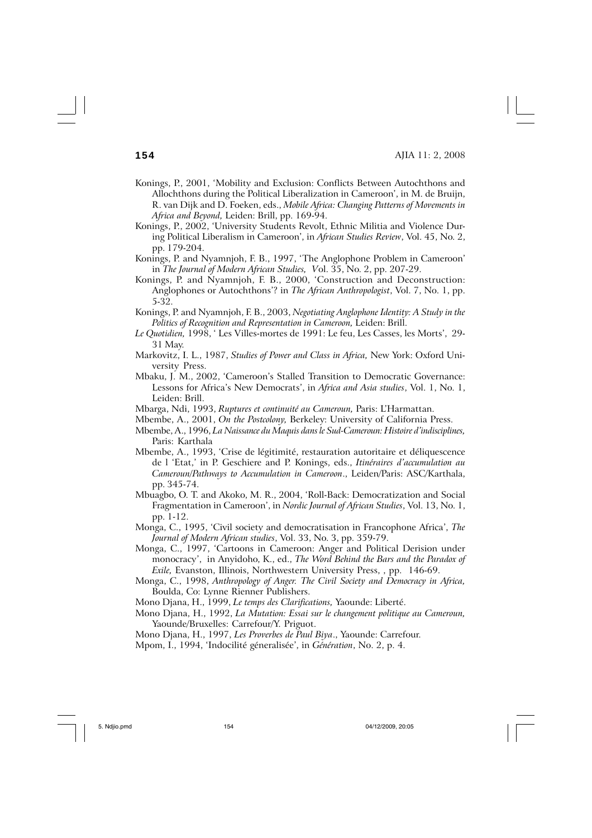Konings, P., 2001, 'Mobility and Exclusion: Conflicts Between Autochthons and Allochthons during the Political Liberalization in Cameroon', in M. de Bruijn, R. van Dijk and D. Foeken, eds., *Mobile Africa: Changing Patterns of Movements in Africa and Beyond,* Leiden: Brill, pp. 169-94.

Konings, P., 2002, 'University Students Revolt, Ethnic Militia and Violence During Political Liberalism in Cameroon', in *African Studies Review*, Vol. 45, No. 2, pp. 179-204.

- Konings, P. and Nyamnjoh, F. B., 1997, 'The Anglophone Problem in Cameroon' in *The Journal of Modern African Studies, V*ol. 35, No. 2, pp. 207-29.
- Konings, P. and Nyamnjoh, F. B., 2000, 'Construction and Deconstruction: Anglophones or Autochthons'? in *The African Anthropologist*, Vol. 7, No. 1, pp. 5-32.

Konings, P. and Nyamnjoh, F. B., 2003, *Negotiating Anglophone Identity: A Study in the Politics of Recognition and Representation in Cameroon,* Leiden: Brill.

- *Le Quotidien,* 1998, ' Les Villes-mortes de 1991: Le feu, Les Casses, les Morts', 29- 31 May.
- Markovitz, I. L., 1987, *Studies of Power and Class in Africa,* New York: Oxford University Press.
- Mbaku, J. M., 2002, 'Cameroon's Stalled Transition to Democratic Governance: Lessons for Africa's New Democrats', in *Africa and Asia studies*, Vol. 1, No. 1, Leiden: Brill.

Mbarga, Ndi, 1993, *Ruptures et continuité au Cameroun,* Paris: L'Harmattan.

- Mbembe, A., 2001, *On the Postcolony,* Berkeley: University of California Press.
- Mbembe, A., 1996, *La Naissance du Maquis dans le Sud-Cameroun: Histoire d'indisciplines,* Paris: Karthala
- Mbembe, A., 1993, 'Crise de légitimité, restauration autoritaire et déliquescence de l 'Etat,' in P. Geschiere and P. Konings, eds., *Itinéraires d'accumulation au Cameroun/Pathways to Accumulation in Cameroon*., Leiden/Paris: ASC/Karthala, pp. 345-74.
- Mbuagbo, O. T. and Akoko, M. R., 2004, 'Roll-Back: Democratization and Social Fragmentation in Cameroon', in *Nordic Journal of African Studies*, Vol. 13, No. 1, pp. 1-12.
- Monga, C., 1995, 'Civil society and democratisation in Francophone Africa', *The Journal of Modern African studies*, Vol. 33, No. 3, pp. 359-79.
- Monga, C., 1997, 'Cartoons in Cameroon: Anger and Political Derision under monocracy', in Anyidoho, K., ed., *The Word Behind the Bars and the Paradox of Exile,* Evanston, Illinois, Northwestern University Press, , pp. 146-69.
- Monga, C., 1998, *Anthropology of Anger. The Civil Society and Democracy in Africa,* Boulda, Co: Lynne Rienner Publishers.

Mono Djana, H., 1999, *Le temps des Clarifications,* Yaounde: Liberté.

Mono Djana, H., 1992, *La Mutation: Essai sur le changement politique au Cameroun,* Yaounde/Bruxelles: Carrefour/Y. Priguot.

Mono Djana, H., 1997, *Les Proverbes de Paul Biya*., Yaounde: Carrefour. Mpom, I., 1994, 'Indocilité géneralisée', in *Génération*, No. 2, p. 4.

5. Ndjio.pmd 154 04/12/2009, 20:05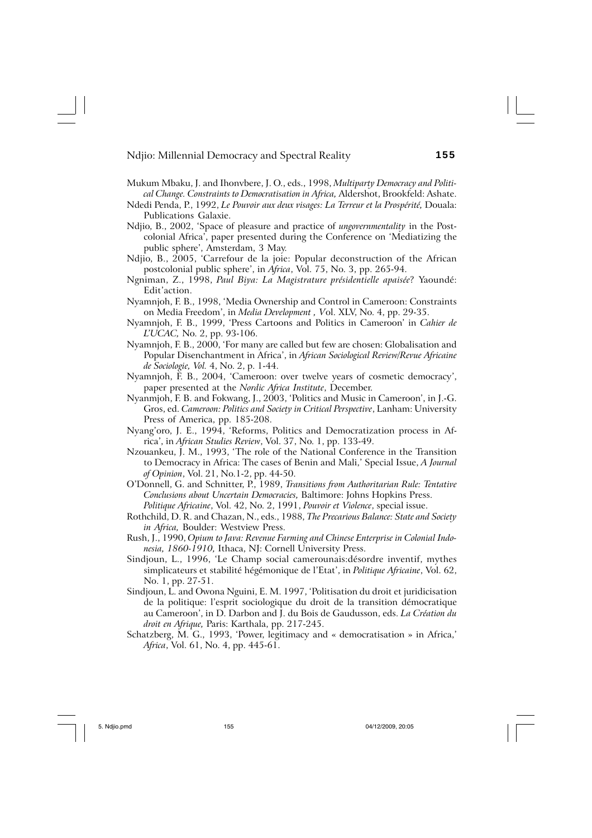Mukum Mbaku, J. and Ihonvbere, J. O., eds., 1998, *Multiparty Democracy and Political Change. Constraints to Democratisation in Africa,* Aldershot, Brookfeld: Ashate.

- Ndedi Penda, P., 1992, *Le Pouvoir aux deux visages: La Terreur et la Prospérité,* Douala: Publications Galaxie.
- Ndjio, B., 2002, 'Space of pleasure and practice of *ungovernmentality* in the Postcolonial Africa', paper presented during the Conference on 'Mediatizing the public sphere', Amsterdam, 3 May.
- Ndjio, B., 2005, 'Carrefour de la joie: Popular deconstruction of the African postcolonial public sphere', in *Africa*, Vol. 75, No. 3, pp. 265-94.
- Ngniman, Z., 1998, *Paul Biya: La Magistrature présidentielle apaisée*? Yaoundé: Edit'action.
- Nyamnjoh, F. B., 1998, 'Media Ownership and Control in Cameroon: Constraints on Media Freedom', in *Media Development , V*ol. XLV, No. 4, pp. 29-35.
- Nyamnjoh, F. B., 1999, 'Press Cartoons and Politics in Cameroon' in *Cahier de L'UCAC,* No. 2, pp. 93-106.
- Nyamnjoh, F. B., 2000, 'For many are called but few are chosen: Globalisation and Popular Disenchantment in Africa', in *African Sociological Review/Revue Africaine de Sociologie, Vol.* 4, No. 2, p. 1-44.
- Nyamnjoh, F. B., 2004, 'Cameroon: over twelve years of cosmetic democracy', paper presented at the *Nordic Africa Institute*, December.
- Nyanmjoh, F. B. and Fokwang, J., 2003, 'Politics and Music in Cameroon', in J.-G. Gros, ed. *Cameroon: Politics and Society in Critical Perspective*, Lanham: University Press of America, pp. 185-208.
- Nyang'oro, J. E., 1994, 'Reforms, Politics and Democratization process in Africa', in *African Studies Review*, Vol. 37, No. 1, pp. 133-49.
- Nzouankeu, J. M., 1993, 'The role of the National Conference in the Transition to Democracy in Africa: The cases of Benin and Mali,' Special Issue, *A Journal of Opinion*, Vol. 21, No.1-2, pp. 44-50.
- O'Donnell, G. and Schnitter, P., 1989, *Transitions from Authoritarian Rule: Tentative Conclusions about Uncertain Democracies,* Baltimore: Johns Hopkins Press. *Politique Africaine*, Vol. 42, No. 2, 1991, *Pouvoir et Violence*, special issue.
- Rothchild, D. R. and Chazan, N., eds., 1988, *The Precarious Balance: State and Society in Africa,* Boulder: Westview Press.
- Rush, J., 1990, *Opium to Java: Revenue Farming and Chinese Enterprise in Colonial Indonesia, 1860-1910,* Ithaca, NJ: Cornell University Press.
- Sindjoun, L., 1996, 'Le Champ social camerounais:désordre inventif, mythes simplicateurs et stabilité hégémonique de l'Etat', in *Politique Africaine*, Vol. 62, No. 1, pp. 27-51.
- Sindjoun, L. and Owona Nguini, E. M. 1997, 'Politisation du droit et juridicisation de la politique: l'esprit sociologique du droit de la transition démocratique au Cameroon', in D. Darbon and J. du Bois de Gaudusson, eds. *La Création du droit en Afrique,* Paris: Karthala, pp. 217-245.
- Schatzberg, M. G., 1993, 'Power, legitimacy and « democratisation » in Africa,' *Africa*, Vol. 61, No. 4, pp. 445-61.